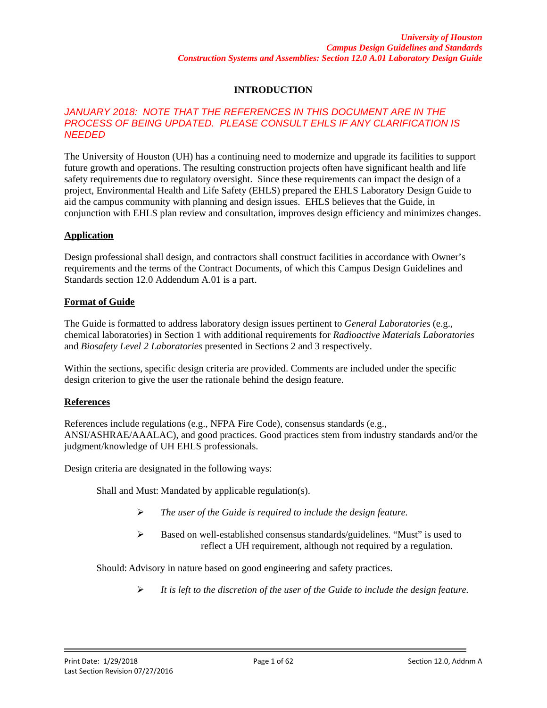## **INTRODUCTION**

### *JANUARY 2018: NOTE THAT THE REFERENCES IN THIS DOCUMENT ARE IN THE*  **PROCESS OF BEING UPDATED. PLEASE CONSULT EHLS IF ANY CLARIFICATION IS** *NEEDED*

The University of Houston (UH) has a continuing need to modernize and upgrade its facilities to support future growth and operations. The resulting construction projects often have significant health and life safety requirements due to regulatory oversight. Since these requirements can impact the design of a project, Environmental Health and Life Safety (EHLS) prepared the EHLS Laboratory Design Guide to aid the campus community with planning and design issues. EHLS believes that the Guide, in conjunction with EHLS plan review and consultation, improves design efficiency and minimizes changes.

## **Application**

Design professional shall design, and contractors shall construct facilities in accordance with Owner's requirements and the terms of the Contract Documents, of which this Campus Design Guidelines and Standards section 12.0 Addendum A.01 is a part.

## **Format of Guide**

The Guide is formatted to address laboratory design issues pertinent to *General Laboratories* (e.g., chemical laboratories) in Section 1 with additional requirements for *Radioactive Materials Laboratories* and *Biosafety Level 2 Laboratories* presented in Sections 2 and 3 respectively.

Within the sections, specific design criteria are provided. Comments are included under the specific design criterion to give the user the rationale behind the design feature.

### **References**

References include regulations (e.g., NFPA Fire Code), consensus standards (e.g., ANSI/ASHRAE/AAALAC), and good practices. Good practices stem from industry standards and/or the judgment/knowledge of UH EHLS professionals.

Design criteria are designated in the following ways:

Shall and Must: Mandated by applicable regulation(s).

- *The user of the Guide is required to include the design feature.*
- Based on well-established consensus standards/guidelines. "Must" is used to reflect a UH requirement, although not required by a regulation.

Should: Advisory in nature based on good engineering and safety practices.

*It is left to the discretion of the user of the Guide to include the design feature.*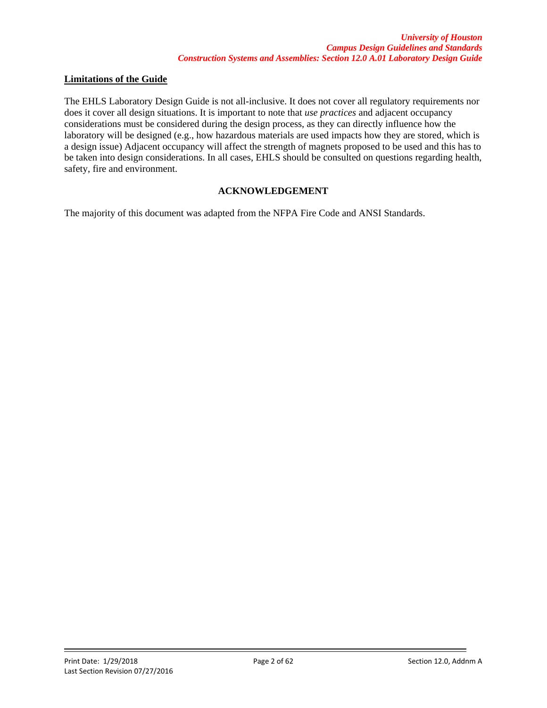### **Limitations of the Guide**

The EHLS Laboratory Design Guide is not all-inclusive. It does not cover all regulatory requirements nor does it cover all design situations. It is important to note that *use practices* and adjacent occupancy considerations must be considered during the design process, as they can directly influence how the laboratory will be designed (e.g., how hazardous materials are used impacts how they are stored, which is a design issue) Adjacent occupancy will affect the strength of magnets proposed to be used and this has to be taken into design considerations. In all cases, EHLS should be consulted on questions regarding health, safety, fire and environment.

## **ACKNOWLEDGEMENT**

The majority of this document was adapted from the NFPA Fire Code and ANSI Standards.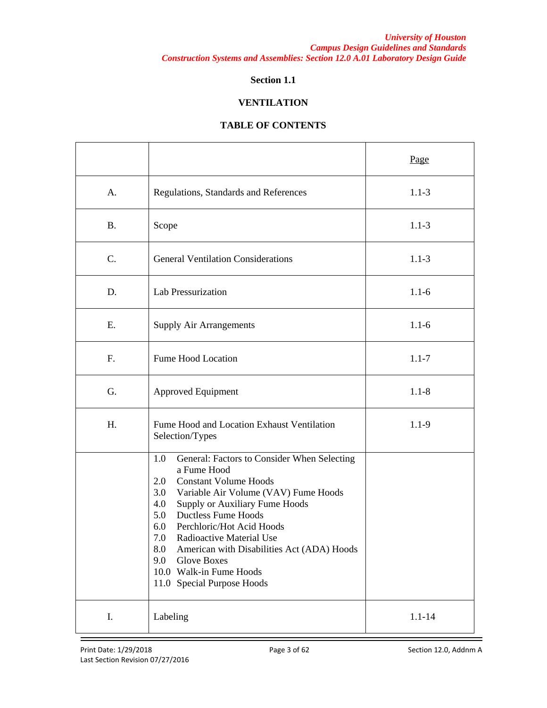## **Section 1.1**

### **VENTILATION**

|           |                                                                                                                                                                                                                                                                                                                                                                                                                                                         | Page       |
|-----------|---------------------------------------------------------------------------------------------------------------------------------------------------------------------------------------------------------------------------------------------------------------------------------------------------------------------------------------------------------------------------------------------------------------------------------------------------------|------------|
| A.        | Regulations, Standards and References                                                                                                                                                                                                                                                                                                                                                                                                                   | $1.1 - 3$  |
| <b>B.</b> | Scope                                                                                                                                                                                                                                                                                                                                                                                                                                                   | $1.1 - 3$  |
| C.        | <b>General Ventilation Considerations</b>                                                                                                                                                                                                                                                                                                                                                                                                               | $1.1 - 3$  |
| D.        | Lab Pressurization                                                                                                                                                                                                                                                                                                                                                                                                                                      | $1.1 - 6$  |
| E.        | <b>Supply Air Arrangements</b>                                                                                                                                                                                                                                                                                                                                                                                                                          | $1.1 - 6$  |
| F.        | Fume Hood Location                                                                                                                                                                                                                                                                                                                                                                                                                                      | $1.1 - 7$  |
| G.        | <b>Approved Equipment</b>                                                                                                                                                                                                                                                                                                                                                                                                                               | $1.1 - 8$  |
| Η.        | Fume Hood and Location Exhaust Ventilation<br>Selection/Types                                                                                                                                                                                                                                                                                                                                                                                           | $1.1 - 9$  |
|           | 1.0<br>General: Factors to Consider When Selecting<br>a Fume Hood<br><b>Constant Volume Hoods</b><br>2.0<br>Variable Air Volume (VAV) Fume Hoods<br>3.0<br>4.0<br>Supply or Auxiliary Fume Hoods<br><b>Ductless Fume Hoods</b><br>5.0<br>6.0<br>Perchloric/Hot Acid Hoods<br>7.0<br>Radioactive Material Use<br>American with Disabilities Act (ADA) Hoods<br>8.0<br>9.0<br><b>Glove Boxes</b><br>10.0 Walk-in Fume Hoods<br>11.0 Special Purpose Hoods |            |
| I.        | Labeling                                                                                                                                                                                                                                                                                                                                                                                                                                                | $1.1 - 14$ |

### **TABLE OF CONTENTS**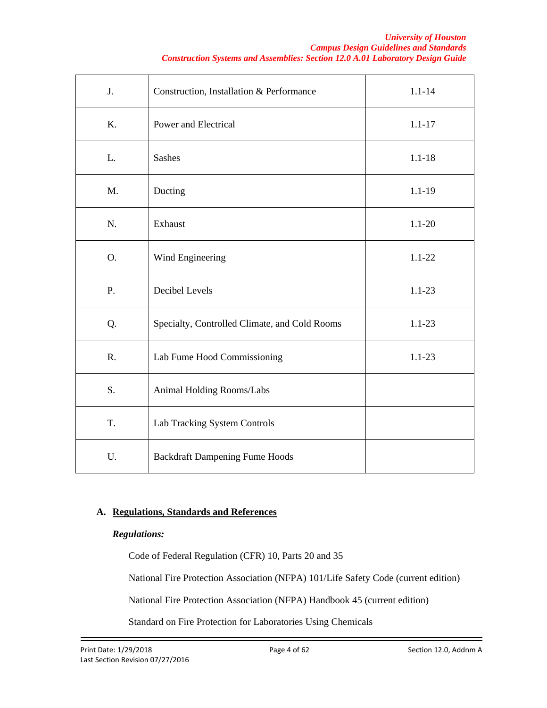#### *University of Houston Campus Design Guidelines and Standards Construction Systems and Assemblies: Section 12.0 A.01 Laboratory Design Guide*

| J. | Construction, Installation & Performance      | $1.1 - 14$ |
|----|-----------------------------------------------|------------|
| K. | Power and Electrical                          | $1.1 - 17$ |
| L. | <b>Sashes</b>                                 | $1.1 - 18$ |
| M. | Ducting                                       | $1.1 - 19$ |
| N. | Exhaust                                       | $1.1 - 20$ |
| O. | Wind Engineering                              | $1.1 - 22$ |
| P. | Decibel Levels                                | $1.1 - 23$ |
| Q. | Specialty, Controlled Climate, and Cold Rooms | $1.1 - 23$ |
| R. | Lab Fume Hood Commissioning                   | $1.1 - 23$ |
| S. | Animal Holding Rooms/Labs                     |            |
| T. | Lab Tracking System Controls                  |            |
| U. | <b>Backdraft Dampening Fume Hoods</b>         |            |

# **A. Regulations, Standards and References**

## *Regulations:*

Code of Federal Regulation (CFR) 10, Parts 20 and 35

National Fire Protection Association (NFPA) 101/Life Safety Code (current edition)

National Fire Protection Association (NFPA) Handbook 45 (current edition)

Standard on Fire Protection for Laboratories Using Chemicals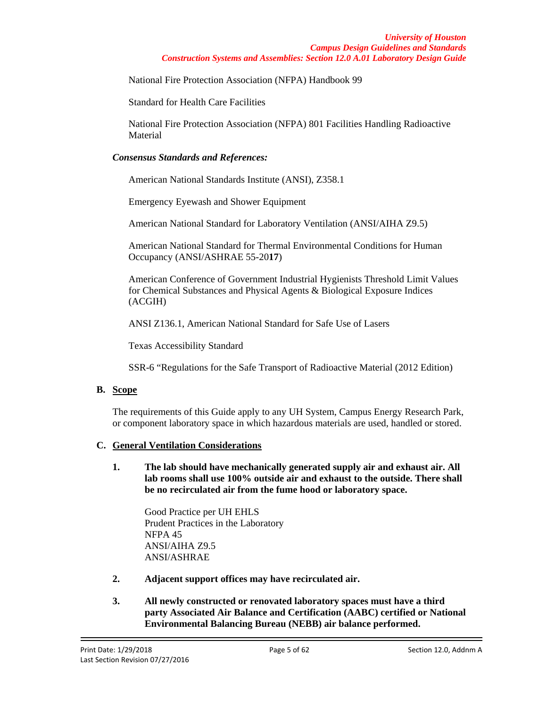National Fire Protection Association (NFPA) Handbook 99

Standard for Health Care Facilities

National Fire Protection Association (NFPA) 801 Facilities Handling Radioactive **Material** 

## *Consensus Standards and References:*

American National Standards Institute (ANSI), Z358.1

Emergency Eyewash and Shower Equipment

American National Standard for Laboratory Ventilation (ANSI/AIHA Z9.5)

American National Standard for Thermal Environmental Conditions for Human Occupancy (ANSI/ASHRAE 55-20**17**)

American Conference of Government Industrial Hygienists Threshold Limit Values for Chemical Substances and Physical Agents & Biological Exposure Indices (ACGIH)

ANSI Z136.1, American National Standard for Safe Use of Lasers

Texas Accessibility Standard

SSR-6 "Regulations for the Safe Transport of Radioactive Material (2012 Edition)

## **B. Scope**

The requirements of this Guide apply to any UH System, Campus Energy Research Park, or component laboratory space in which hazardous materials are used, handled or stored.

## **C. General Ventilation Considerations**

**1. The lab should have mechanically generated supply air and exhaust air. All lab rooms shall use 100% outside air and exhaust to the outside. There shall be no recirculated air from the fume hood or laboratory space.** 

Good Practice per UH EHLS Prudent Practices in the Laboratory NFPA 45 ANSI/AIHA Z9.5 ANSI/ASHRAE

- **2. Adjacent support offices may have recirculated air.**
- **3. All newly constructed or renovated laboratory spaces must have a third party Associated Air Balance and Certification (AABC) certified or National Environmental Balancing Bureau (NEBB) air balance performed.**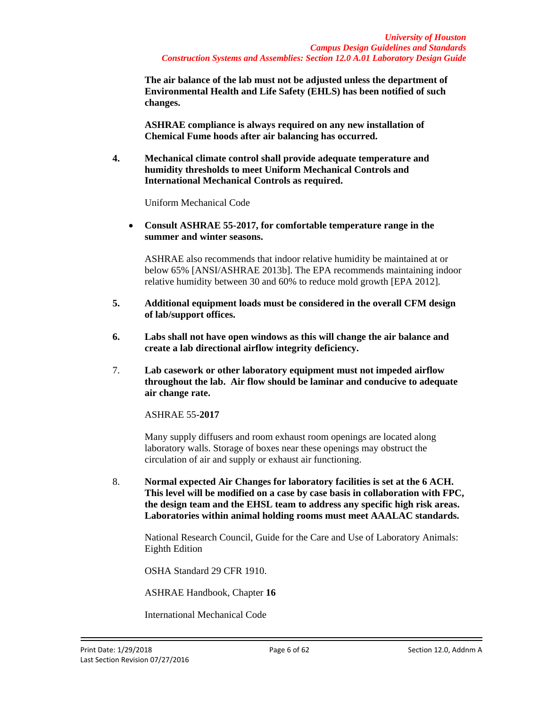**The air balance of the lab must not be adjusted unless the department of Environmental Health and Life Safety (EHLS) has been notified of such changes.**

**ASHRAE compliance is always required on any new installation of Chemical Fume hoods after air balancing has occurred.**

**4. Mechanical climate control shall provide adequate temperature and humidity thresholds to meet Uniform Mechanical Controls and International Mechanical Controls as required.**

Uniform Mechanical Code

• **Consult ASHRAE 55-2017, for comfortable temperature range in the summer and winter seasons.** 

ASHRAE also recommends that indoor relative humidity be maintained at or below 65% [ANSI/ASHRAE 2013b]. The EPA recommends maintaining indoor relative humidity between 30 and 60% to reduce mold growth [EPA 2012].

- **5. Additional equipment loads must be considered in the overall CFM design of lab/support offices.**
- **6. Labs shall not have open windows as this will change the air balance and create a lab directional airflow integrity deficiency.**
- 7. **Lab casework or other laboratory equipment must not impeded airflow throughout the lab. Air flow should be laminar and conducive to adequate air change rate.**

ASHRAE 55-**2017**

Many supply diffusers and room exhaust room openings are located along laboratory walls. Storage of boxes near these openings may obstruct the circulation of air and supply or exhaust air functioning.

8. **Normal expected Air Changes for laboratory facilities is set at the 6 ACH. This level will be modified on a case by case basis in collaboration with FPC, the design team and the EHSL team to address any specific high risk areas. Laboratories within animal holding rooms must meet AAALAC standards.**

National Research Council, Guide for the Care and Use of Laboratory Animals: Eighth Edition

OSHA Standard 29 CFR 1910.

ASHRAE Handbook, Chapter **16**

International Mechanical Code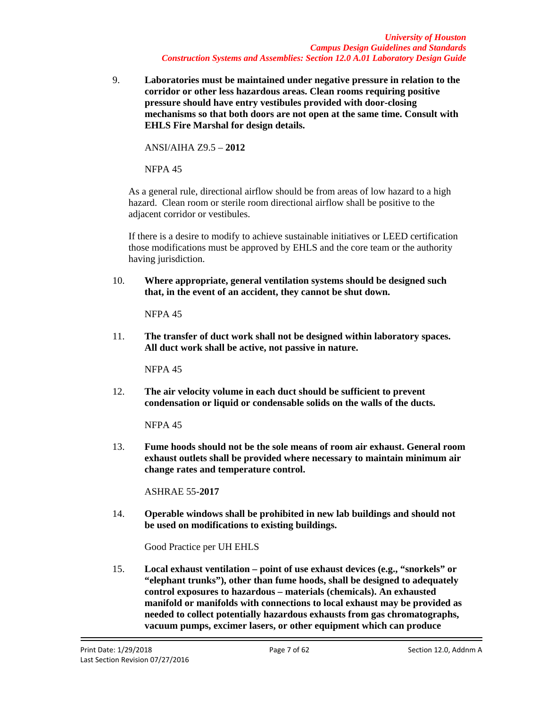*University of Houston Campus Design Guidelines and Standards Construction Systems and Assemblies: Section 12.0 A.01 Laboratory Design Guide*

9. **Laboratories must be maintained under negative pressure in relation to the corridor or other less hazardous areas. Clean rooms requiring positive pressure should have entry vestibules provided with door-closing mechanisms so that both doors are not open at the same time. Consult with EHLS Fire Marshal for design details.** 

ANSI/AIHA Z9.5 – **2012**

NFPA 45

As a general rule, directional airflow should be from areas of low hazard to a high hazard. Clean room or sterile room directional airflow shall be positive to the adjacent corridor or vestibules.

If there is a desire to modify to achieve sustainable initiatives or LEED certification those modifications must be approved by EHLS and the core team or the authority having jurisdiction.

10. **Where appropriate, general ventilation systems should be designed such that, in the event of an accident, they cannot be shut down.**

NFPA 45

11. **The transfer of duct work shall not be designed within laboratory spaces. All duct work shall be active, not passive in nature.**

NFPA 45

12. **The air velocity volume in each duct should be sufficient to prevent condensation or liquid or condensable solids on the walls of the ducts.**

NFPA 45

13. **Fume hoods should not be the sole means of room air exhaust. General room exhaust outlets shall be provided where necessary to maintain minimum air change rates and temperature control.**

ASHRAE 55-**2017**

14. **Operable windows shall be prohibited in new lab buildings and should not be used on modifications to existing buildings.**

Good Practice per UH EHLS

15. **Local exhaust ventilation – point of use exhaust devices (e.g., "snorkels" or "elephant trunks"), other than fume hoods, shall be designed to adequately control exposures to hazardous – materials (chemicals). An exhausted manifold or manifolds with connections to local exhaust may be provided as needed to collect potentially hazardous exhausts from gas chromatographs, vacuum pumps, excimer lasers, or other equipment which can produce**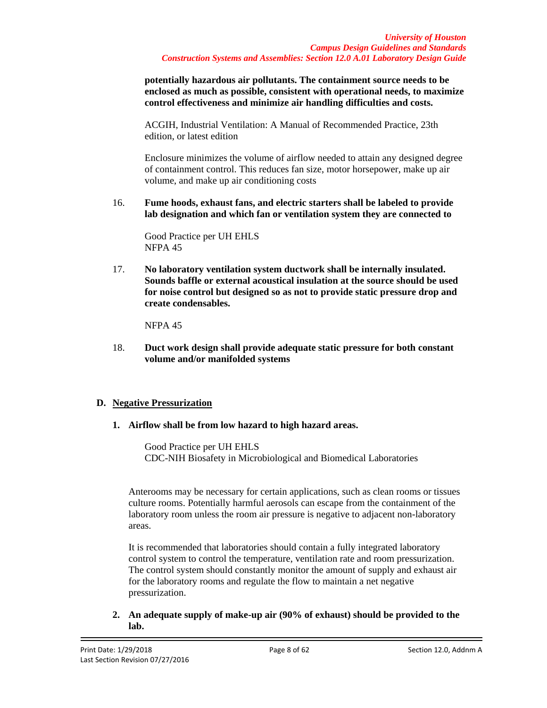**potentially hazardous air pollutants. The containment source needs to be enclosed as much as possible, consistent with operational needs, to maximize control effectiveness and minimize air handling difficulties and costs.**

ACGIH, Industrial Ventilation: A Manual of Recommended Practice, 23th edition, or latest edition

Enclosure minimizes the volume of airflow needed to attain any designed degree of containment control. This reduces fan size, motor horsepower, make up air volume, and make up air conditioning costs

16. **Fume hoods, exhaust fans, and electric starters shall be labeled to provide lab designation and which fan or ventilation system they are connected to**

Good Practice per UH EHLS NFPA 45

17. **No laboratory ventilation system ductwork shall be internally insulated. Sounds baffle or external acoustical insulation at the source should be used for noise control but designed so as not to provide static pressure drop and create condensables.**

NFPA 45

18. **Duct work design shall provide adequate static pressure for both constant volume and/or manifolded systems**

## **D. Negative Pressurization**

**1. Airflow shall be from low hazard to high hazard areas.**

Good Practice per UH EHLS CDC-NIH Biosafety in Microbiological and Biomedical Laboratories

Anterooms may be necessary for certain applications, such as clean rooms or tissues culture rooms. Potentially harmful aerosols can escape from the containment of the laboratory room unless the room air pressure is negative to adjacent non-laboratory areas.

It is recommended that laboratories should contain a fully integrated laboratory control system to control the temperature, ventilation rate and room pressurization. The control system should constantly monitor the amount of supply and exhaust air for the laboratory rooms and regulate the flow to maintain a net negative pressurization.

**2. An adequate supply of make-up air (90% of exhaust) should be provided to the lab.**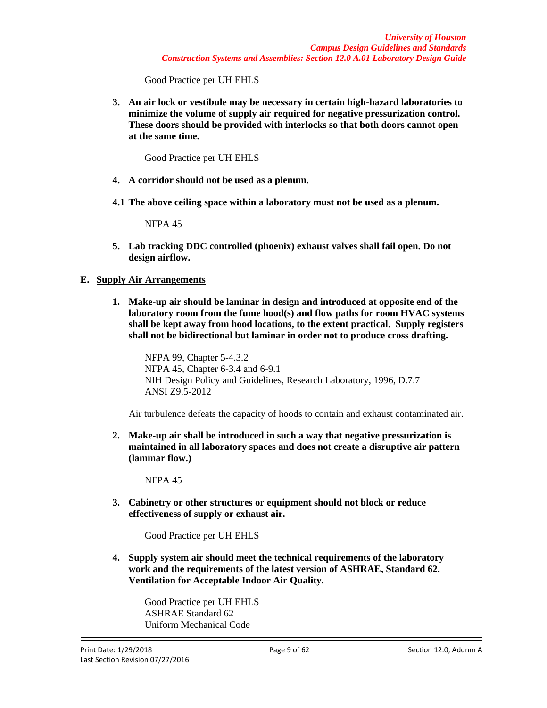Good Practice per UH EHLS

**3. An air lock or vestibule may be necessary in certain high-hazard laboratories to minimize the volume of supply air required for negative pressurization control. These doors should be provided with interlocks so that both doors cannot open at the same time.**

Good Practice per UH EHLS

- **4. A corridor should not be used as a plenum.**
- **4.1 The above ceiling space within a laboratory must not be used as a plenum.**

NFPA 45

**5. Lab tracking DDC controlled (phoenix) exhaust valves shall fail open. Do not design airflow.**

## **E. Supply Air Arrangements**

**1. Make-up air should be laminar in design and introduced at opposite end of the laboratory room from the fume hood(s) and flow paths for room HVAC systems shall be kept away from hood locations, to the extent practical. Supply registers shall not be bidirectional but laminar in order not to produce cross drafting.**

NFPA 99, Chapter 5-4.3.2 NFPA 45, Chapter 6-3.4 and 6-9.1 NIH Design Policy and Guidelines, Research Laboratory, 1996, D.7.7 ANSI Z9.5-2012

Air turbulence defeats the capacity of hoods to contain and exhaust contaminated air.

**2. Make-up air shall be introduced in such a way that negative pressurization is maintained in all laboratory spaces and does not create a disruptive air pattern (laminar flow.)**

NFPA 45

**3. Cabinetry or other structures or equipment should not block or reduce effectiveness of supply or exhaust air.**

Good Practice per UH EHLS

**4. Supply system air should meet the technical requirements of the laboratory work and the requirements of the latest version of ASHRAE, Standard 62, Ventilation for Acceptable Indoor Air Quality.**

Good Practice per UH EHLS ASHRAE Standard 62 Uniform Mechanical Code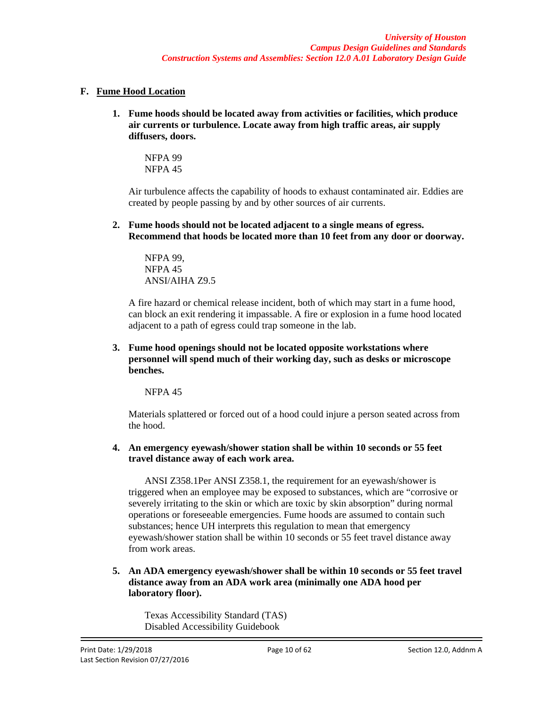# **F. Fume Hood Location**

**1. Fume hoods should be located away from activities or facilities, which produce air currents or turbulence. Locate away from high traffic areas, air supply diffusers, doors.**

NFPA 99 NFPA 45

Air turbulence affects the capability of hoods to exhaust contaminated air. Eddies are created by people passing by and by other sources of air currents.

**2. Fume hoods should not be located adjacent to a single means of egress. Recommend that hoods be located more than 10 feet from any door or doorway.**

NFPA 99, NFPA 45 ANSI/AIHA Z9.5

A fire hazard or chemical release incident, both of which may start in a fume hood, can block an exit rendering it impassable. A fire or explosion in a fume hood located adjacent to a path of egress could trap someone in the lab.

**3. Fume hood openings should not be located opposite workstations where personnel will spend much of their working day, such as desks or microscope benches.**

NFPA 45

Materials splattered or forced out of a hood could injure a person seated across from the hood.

## **4. An emergency eyewash/shower station shall be within 10 seconds or 55 feet travel distance away of each work area.**

ANSI Z358.1Per ANSI Z358.1, the requirement for an eyewash/shower is triggered when an employee may be exposed to substances, which are "corrosive or severely irritating to the skin or which are toxic by skin absorption" during normal operations or foreseeable emergencies. Fume hoods are assumed to contain such substances; hence UH interprets this regulation to mean that emergency eyewash/shower station shall be within 10 seconds or 55 feet travel distance away from work areas.

**5. An ADA emergency eyewash/shower shall be within 10 seconds or 55 feet travel distance away from an ADA work area (minimally one ADA hood per laboratory floor).**

Texas Accessibility Standard (TAS) Disabled Accessibility Guidebook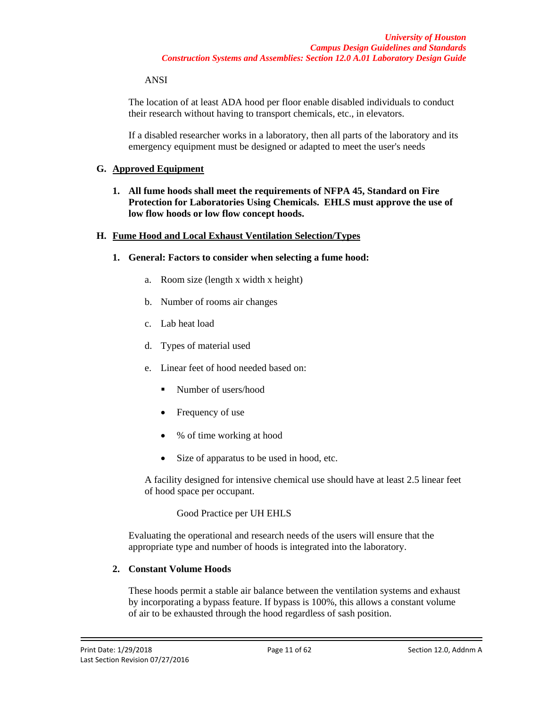### ANSI

The location of at least ADA hood per floor enable disabled individuals to conduct their research without having to transport chemicals, etc., in elevators.

If a disabled researcher works in a laboratory, then all parts of the laboratory and its emergency equipment must be designed or adapted to meet the user's needs

### **G. Approved Equipment**

**1. All fume hoods shall meet the requirements of NFPA 45, Standard on Fire Protection for Laboratories Using Chemicals. EHLS must approve the use of low flow hoods or low flow concept hoods.** 

### **H. Fume Hood and Local Exhaust Ventilation Selection/Types**

- **1. General: Factors to consider when selecting a fume hood:**
	- a. Room size (length x width x height)
	- b. Number of rooms air changes
	- c. Lab heat load
	- d. Types of material used
	- e. Linear feet of hood needed based on:
		- Number of users/hood
		- Frequency of use
		- % of time working at hood
		- Size of apparatus to be used in hood, etc.

A facility designed for intensive chemical use should have at least 2.5 linear feet of hood space per occupant.

### Good Practice per UH EHLS

Evaluating the operational and research needs of the users will ensure that the appropriate type and number of hoods is integrated into the laboratory.

## **2. Constant Volume Hoods**

These hoods permit a stable air balance between the ventilation systems and exhaust by incorporating a bypass feature. If bypass is 100%, this allows a constant volume of air to be exhausted through the hood regardless of sash position.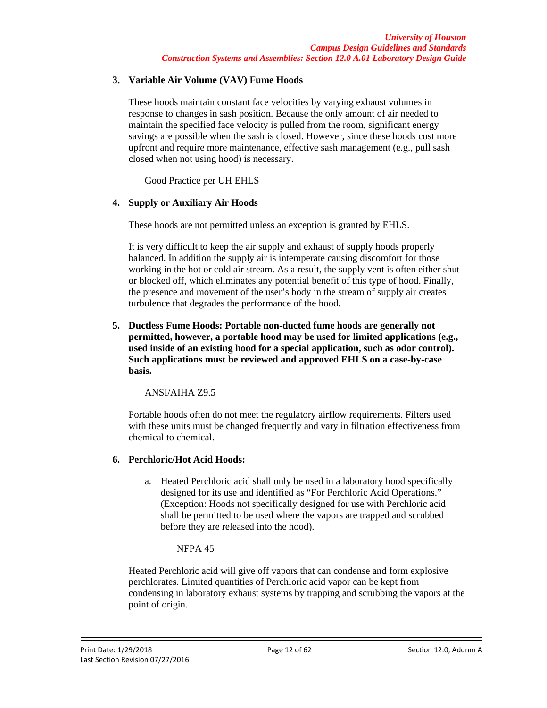## **3. Variable Air Volume (VAV) Fume Hoods**

These hoods maintain constant face velocities by varying exhaust volumes in response to changes in sash position. Because the only amount of air needed to maintain the specified face velocity is pulled from the room, significant energy savings are possible when the sash is closed. However, since these hoods cost more upfront and require more maintenance, effective sash management (e.g., pull sash closed when not using hood) is necessary.

Good Practice per UH EHLS

## **4. Supply or Auxiliary Air Hoods**

These hoods are not permitted unless an exception is granted by EHLS.

It is very difficult to keep the air supply and exhaust of supply hoods properly balanced. In addition the supply air is intemperate causing discomfort for those working in the hot or cold air stream. As a result, the supply vent is often either shut or blocked off, which eliminates any potential benefit of this type of hood. Finally, the presence and movement of the user's body in the stream of supply air creates turbulence that degrades the performance of the hood.

**5. Ductless Fume Hoods: Portable non-ducted fume hoods are generally not permitted, however, a portable hood may be used for limited applications (e.g., used inside of an existing hood for a special application, such as odor control). Such applications must be reviewed and approved EHLS on a case-by-case basis.**

ANSI/AIHA Z9.5

Portable hoods often do not meet the regulatory airflow requirements. Filters used with these units must be changed frequently and vary in filtration effectiveness from chemical to chemical.

## **6. Perchloric/Hot Acid Hoods:**

a. Heated Perchloric acid shall only be used in a laboratory hood specifically designed for its use and identified as "For Perchloric Acid Operations." (Exception: Hoods not specifically designed for use with Perchloric acid shall be permitted to be used where the vapors are trapped and scrubbed before they are released into the hood).

## NFPA 45

Heated Perchloric acid will give off vapors that can condense and form explosive perchlorates. Limited quantities of Perchloric acid vapor can be kept from condensing in laboratory exhaust systems by trapping and scrubbing the vapors at the point of origin.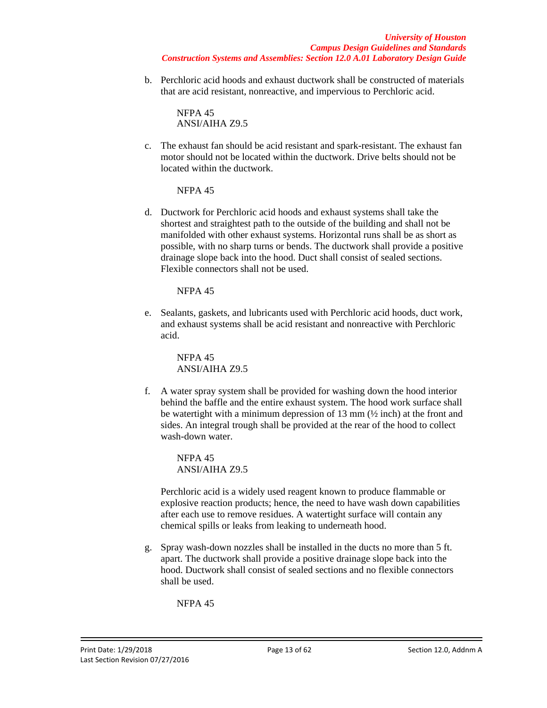b. Perchloric acid hoods and exhaust ductwork shall be constructed of materials that are acid resistant, nonreactive, and impervious to Perchloric acid.

NFPA 45 ANSI/AIHA Z9.5

c. The exhaust fan should be acid resistant and spark-resistant. The exhaust fan motor should not be located within the ductwork. Drive belts should not be located within the ductwork.

NFPA 45

d. Ductwork for Perchloric acid hoods and exhaust systems shall take the shortest and straightest path to the outside of the building and shall not be manifolded with other exhaust systems. Horizontal runs shall be as short as possible, with no sharp turns or bends. The ductwork shall provide a positive drainage slope back into the hood. Duct shall consist of sealed sections. Flexible connectors shall not be used.

NFPA 45

e. Sealants, gaskets, and lubricants used with Perchloric acid hoods, duct work, and exhaust systems shall be acid resistant and nonreactive with Perchloric acid.

> NFPA 45 ANSI/AIHA Z9.5

f. A water spray system shall be provided for washing down the hood interior behind the baffle and the entire exhaust system. The hood work surface shall be watertight with a minimum depression of 13 mm  $(\frac{1}{2}$  inch) at the front and sides. An integral trough shall be provided at the rear of the hood to collect wash-down water.

NFPA 45 ANSI/AIHA Z9.5

Perchloric acid is a widely used reagent known to produce flammable or explosive reaction products; hence, the need to have wash down capabilities after each use to remove residues. A watertight surface will contain any chemical spills or leaks from leaking to underneath hood.

g. Spray wash-down nozzles shall be installed in the ducts no more than 5 ft. apart. The ductwork shall provide a positive drainage slope back into the hood. Ductwork shall consist of sealed sections and no flexible connectors shall be used.

NFPA 45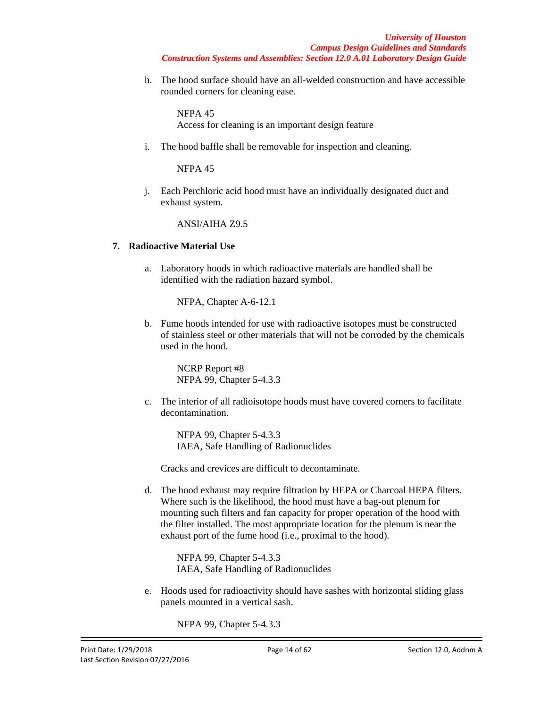h. The hood surface should have an all-welded construction and have accessible rounded corners for cleaning ease.

NFPA 45 Access for cleaning is an important design feature

i. The hood baffle shall be removable for inspection and cleaning.

NFPA 45

j. Each Perchloric acid hood must have an individually designated duct and exhaust system.

ANSI/AIHA Z9.5

### **7. Radioactive Material Use**

a. Laboratory hoods in which radioactive materials are handled shall be identified with the radiation hazard symbol.

NFPA, Chapter A-6-12.1

b. Fume hoods intended for use with radioactive isotopes must be constructed of stainless steel or other materials that will not be corroded by the chemicals used in the hood.

NCRP Report #8 NFPA 99, Chapter 5-4.3.3

c. The interior of all radioisotope hoods must have covered corners to facilitate decontamination.

> NFPA 99, Chapter 5-4.3.3 IAEA, Safe Handling of Radionuclides

Cracks and crevices are difficult to decontaminate.

d. The hood exhaust may require filtration by HEPA or Charcoal HEPA filters. Where such is the likelihood, the hood must have a bag-out plenum for mounting such filters and fan capacity for proper operation of the hood with the filter installed. The most appropriate location for the plenum is near the exhaust port of the fume hood (i.e., proximal to the hood).

> NFPA 99, Chapter 5-4.3.3 IAEA, Safe Handling of Radionuclides

e. Hoods used for radioactivity should have sashes with horizontal sliding glass panels mounted in a vertical sash.

NFPA 99, Chapter 5-4.3.3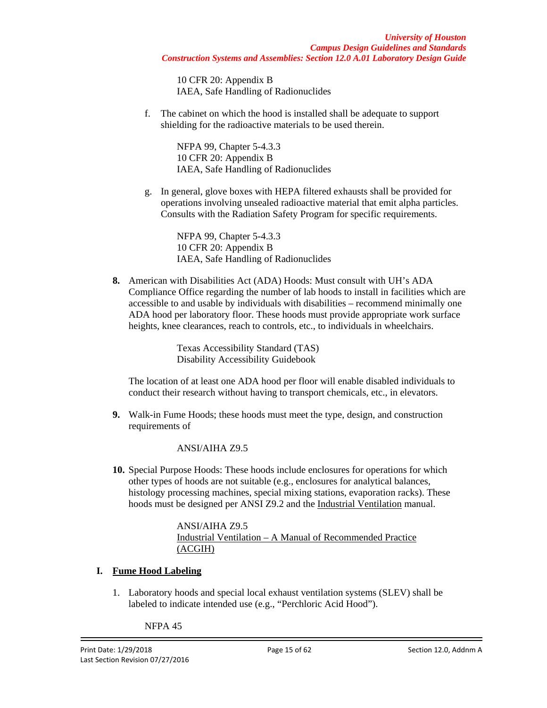10 CFR 20: Appendix B IAEA, Safe Handling of Radionuclides

f. The cabinet on which the hood is installed shall be adequate to support shielding for the radioactive materials to be used therein.

> NFPA 99, Chapter 5-4.3.3 10 CFR 20: Appendix B IAEA, Safe Handling of Radionuclides

g. In general, glove boxes with HEPA filtered exhausts shall be provided for operations involving unsealed radioactive material that emit alpha particles. Consults with the Radiation Safety Program for specific requirements.

> NFPA 99, Chapter 5-4.3.3 10 CFR 20: Appendix B IAEA, Safe Handling of Radionuclides

**8.** American with Disabilities Act (ADA) Hoods: Must consult with UH's ADA Compliance Office regarding the number of lab hoods to install in facilities which are accessible to and usable by individuals with disabilities – recommend minimally one ADA hood per laboratory floor. These hoods must provide appropriate work surface heights, knee clearances, reach to controls, etc., to individuals in wheelchairs.

> Texas Accessibility Standard (TAS) Disability Accessibility Guidebook

The location of at least one ADA hood per floor will enable disabled individuals to conduct their research without having to transport chemicals, etc., in elevators.

**9.** Walk-in Fume Hoods; these hoods must meet the type, design, and construction requirements of

ANSI/AIHA Z9.5

**10.** Special Purpose Hoods: These hoods include enclosures for operations for which other types of hoods are not suitable (e.g., enclosures for analytical balances, histology processing machines, special mixing stations, evaporation racks). These hoods must be designed per ANSI Z9.2 and the Industrial Ventilation manual.

> ANSI/AIHA Z9.5 Industrial Ventilation – A Manual of Recommended Practice (ACGIH)

# **I. Fume Hood Labeling**

1. Laboratory hoods and special local exhaust ventilation systems (SLEV) shall be labeled to indicate intended use (e.g., "Perchloric Acid Hood").

NFPA 45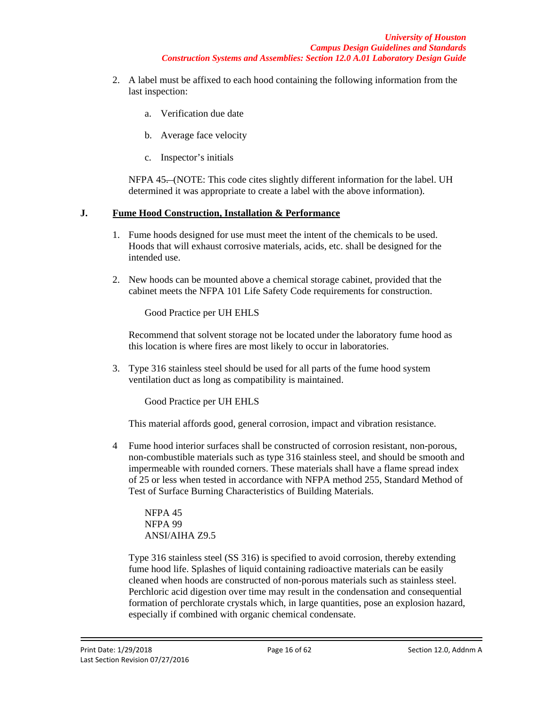- 2. A label must be affixed to each hood containing the following information from the last inspection:
	- a. Verification due date
	- b. Average face velocity
	- c. Inspector's initials

NFPA 45. (NOTE: This code cites slightly different information for the label. UH determined it was appropriate to create a label with the above information).

## **J. Fume Hood Construction, Installation & Performance**

- 1. Fume hoods designed for use must meet the intent of the chemicals to be used. Hoods that will exhaust corrosive materials, acids, etc. shall be designed for the intended use.
- 2. New hoods can be mounted above a chemical storage cabinet, provided that the cabinet meets the NFPA 101 Life Safety Code requirements for construction.

Good Practice per UH EHLS

Recommend that solvent storage not be located under the laboratory fume hood as this location is where fires are most likely to occur in laboratories.

3. Type 316 stainless steel should be used for all parts of the fume hood system ventilation duct as long as compatibility is maintained.

Good Practice per UH EHLS

This material affords good, general corrosion, impact and vibration resistance.

4 Fume hood interior surfaces shall be constructed of corrosion resistant, non-porous, non-combustible materials such as type 316 stainless steel, and should be smooth and impermeable with rounded corners. These materials shall have a flame spread index of 25 or less when tested in accordance with NFPA method 255, Standard Method of Test of Surface Burning Characteristics of Building Materials.

NFPA 45 NFPA 99 ANSI/AIHA Z9.5

Type 316 stainless steel (SS 316) is specified to avoid corrosion, thereby extending fume hood life. Splashes of liquid containing radioactive materials can be easily cleaned when hoods are constructed of non-porous materials such as stainless steel. Perchloric acid digestion over time may result in the condensation and consequential formation of perchlorate crystals which, in large quantities, pose an explosion hazard, especially if combined with organic chemical condensate.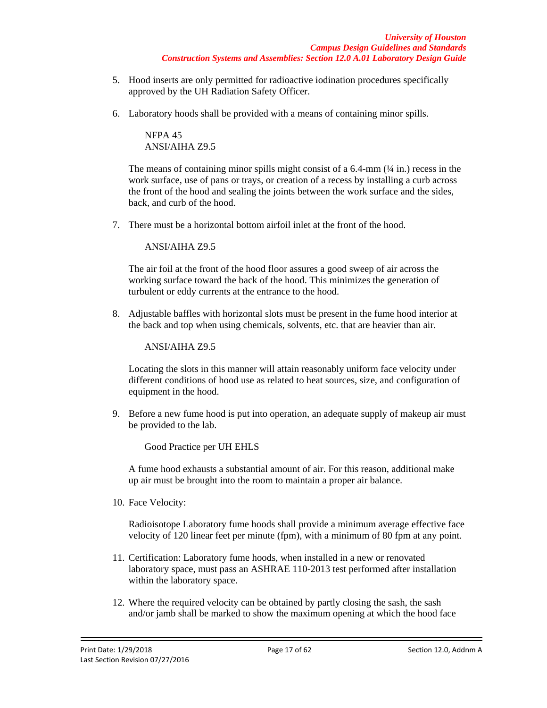- 5. Hood inserts are only permitted for radioactive iodination procedures specifically approved by the UH Radiation Safety Officer.
- 6. Laboratory hoods shall be provided with a means of containing minor spills.

NFPA 45 ANSI/AIHA Z9.5

The means of containing minor spills might consist of a  $6.4\text{-}mm$  ( $\frac{1}{4}$  in.) recess in the work surface, use of pans or trays, or creation of a recess by installing a curb across the front of the hood and sealing the joints between the work surface and the sides, back, and curb of the hood.

7. There must be a horizontal bottom airfoil inlet at the front of the hood.

ANSI/AIHA Z9.5

The air foil at the front of the hood floor assures a good sweep of air across the working surface toward the back of the hood. This minimizes the generation of turbulent or eddy currents at the entrance to the hood.

8. Adjustable baffles with horizontal slots must be present in the fume hood interior at the back and top when using chemicals, solvents, etc. that are heavier than air.

ANSI/AIHA Z9.5

Locating the slots in this manner will attain reasonably uniform face velocity under different conditions of hood use as related to heat sources, size, and configuration of equipment in the hood.

9. Before a new fume hood is put into operation, an adequate supply of makeup air must be provided to the lab.

Good Practice per UH EHLS

A fume hood exhausts a substantial amount of air. For this reason, additional make up air must be brought into the room to maintain a proper air balance.

10. Face Velocity:

Radioisotope Laboratory fume hoods shall provide a minimum average effective face velocity of 120 linear feet per minute (fpm), with a minimum of 80 fpm at any point.

- 11. Certification: Laboratory fume hoods, when installed in a new or renovated laboratory space, must pass an ASHRAE 110-2013 test performed after installation within the laboratory space.
- 12. Where the required velocity can be obtained by partly closing the sash, the sash and/or jamb shall be marked to show the maximum opening at which the hood face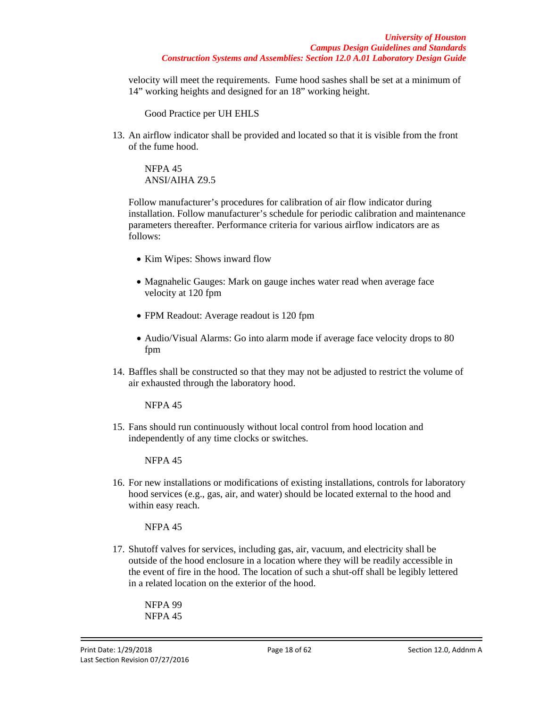velocity will meet the requirements. Fume hood sashes shall be set at a minimum of 14" working heights and designed for an 18" working height.

Good Practice per UH EHLS

13. An airflow indicator shall be provided and located so that it is visible from the front of the fume hood.

NFPA 45 ANSI/AIHA Z9.5

Follow manufacturer's procedures for calibration of air flow indicator during installation. Follow manufacturer's schedule for periodic calibration and maintenance parameters thereafter. Performance criteria for various airflow indicators are as follows:

- Kim Wipes: Shows inward flow
- Magnahelic Gauges: Mark on gauge inches water read when average face velocity at 120 fpm
- FPM Readout: Average readout is 120 fpm
- Audio/Visual Alarms: Go into alarm mode if average face velocity drops to 80 fpm
- 14. Baffles shall be constructed so that they may not be adjusted to restrict the volume of air exhausted through the laboratory hood.

NFPA 45

15. Fans should run continuously without local control from hood location and independently of any time clocks or switches.

NFPA 45

16. For new installations or modifications of existing installations, controls for laboratory hood services (e.g., gas, air, and water) should be located external to the hood and within easy reach.

NFPA 45

17. Shutoff valves for services, including gas, air, vacuum, and electricity shall be outside of the hood enclosure in a location where they will be readily accessible in the event of fire in the hood. The location of such a shut-off shall be legibly lettered in a related location on the exterior of the hood.

NFPA 99 NFPA 45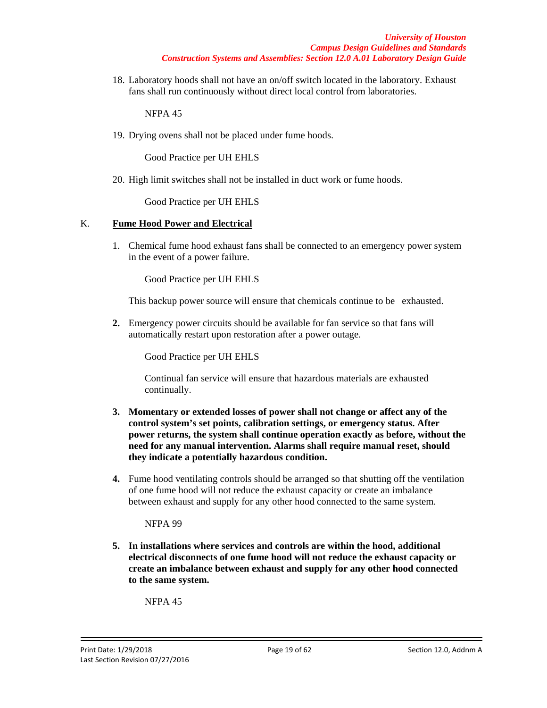18. Laboratory hoods shall not have an on/off switch located in the laboratory. Exhaust fans shall run continuously without direct local control from laboratories.

NFPA 45

19. Drying ovens shall not be placed under fume hoods.

Good Practice per UH EHLS

20. High limit switches shall not be installed in duct work or fume hoods.

Good Practice per UH EHLS

## K. **Fume Hood Power and Electrical**

1. Chemical fume hood exhaust fans shall be connected to an emergency power system in the event of a power failure.

Good Practice per UH EHLS

This backup power source will ensure that chemicals continue to be exhausted.

**2.** Emergency power circuits should be available for fan service so that fans will automatically restart upon restoration after a power outage.

Good Practice per UH EHLS

Continual fan service will ensure that hazardous materials are exhausted continually.

- **3. Momentary or extended losses of power shall not change or affect any of the control system's set points, calibration settings, or emergency status. After power returns, the system shall continue operation exactly as before, without the need for any manual intervention. Alarms shall require manual reset, should they indicate a potentially hazardous condition.**
- **4.** Fume hood ventilating controls should be arranged so that shutting off the ventilation of one fume hood will not reduce the exhaust capacity or create an imbalance between exhaust and supply for any other hood connected to the same system.

NFPA 99

**5. In installations where services and controls are within the hood, additional electrical disconnects of one fume hood will not reduce the exhaust capacity or create an imbalance between exhaust and supply for any other hood connected to the same system.**

NFPA 45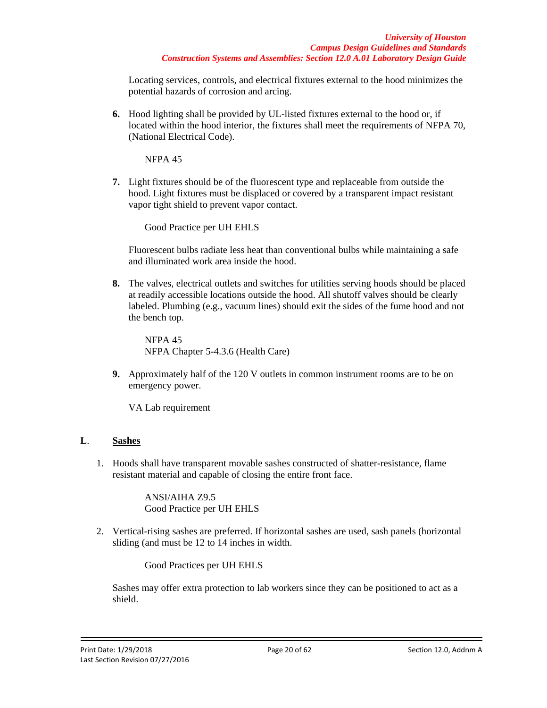Locating services, controls, and electrical fixtures external to the hood minimizes the potential hazards of corrosion and arcing.

**6.** Hood lighting shall be provided by UL-listed fixtures external to the hood or, if located within the hood interior, the fixtures shall meet the requirements of NFPA 70, (National Electrical Code).

NFPA 45

**7.** Light fixtures should be of the fluorescent type and replaceable from outside the hood. Light fixtures must be displaced or covered by a transparent impact resistant vapor tight shield to prevent vapor contact.

Good Practice per UH EHLS

Fluorescent bulbs radiate less heat than conventional bulbs while maintaining a safe and illuminated work area inside the hood.

**8.** The valves, electrical outlets and switches for utilities serving hoods should be placed at readily accessible locations outside the hood. All shutoff valves should be clearly labeled. Plumbing (e.g., vacuum lines) should exit the sides of the fume hood and not the bench top.

NFPA 45 NFPA Chapter 5-4.3.6 (Health Care)

**9.** Approximately half of the 120 V outlets in common instrument rooms are to be on emergency power.

VA Lab requirement

## **L**. **Sashes**

1. Hoods shall have transparent movable sashes constructed of shatter-resistance, flame resistant material and capable of closing the entire front face.

> ANSI/AIHA Z9.5 Good Practice per UH EHLS

2. Vertical-rising sashes are preferred. If horizontal sashes are used, sash panels (horizontal sliding (and must be 12 to 14 inches in width.

Good Practices per UH EHLS

Sashes may offer extra protection to lab workers since they can be positioned to act as a shield.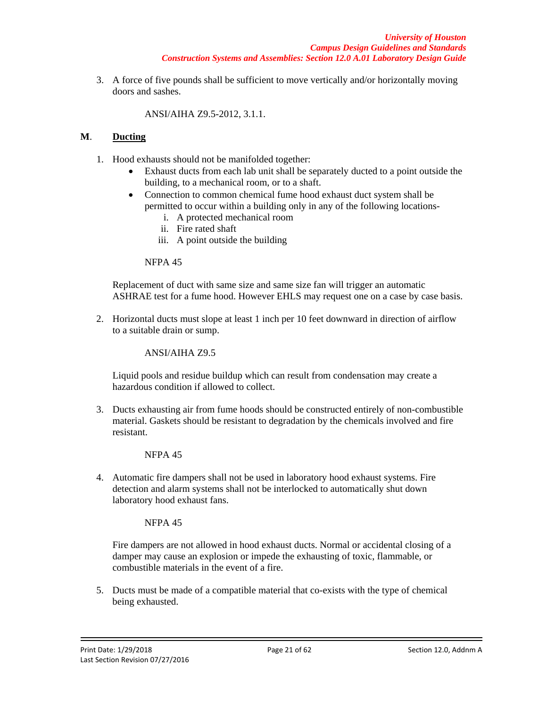*University of Houston Campus Design Guidelines and Standards Construction Systems and Assemblies: Section 12.0 A.01 Laboratory Design Guide*

3. A force of five pounds shall be sufficient to move vertically and/or horizontally moving doors and sashes.

ANSI/AIHA Z9.5-2012, 3.1.1.

## **M**. **Ducting**

- 1. Hood exhausts should not be manifolded together:
	- Exhaust ducts from each lab unit shall be separately ducted to a point outside the building, to a mechanical room, or to a shaft.
	- Connection to common chemical fume hood exhaust duct system shall be permitted to occur within a building only in any of the following locations
		- i. A protected mechanical room
		- ii. Fire rated shaft
		- iii. A point outside the building

### NFPA 45

Replacement of duct with same size and same size fan will trigger an automatic ASHRAE test for a fume hood. However EHLS may request one on a case by case basis.

2. Horizontal ducts must slope at least 1 inch per 10 feet downward in direction of airflow to a suitable drain or sump.

ANSI/AIHA Z9.5

Liquid pools and residue buildup which can result from condensation may create a hazardous condition if allowed to collect.

3. Ducts exhausting air from fume hoods should be constructed entirely of non-combustible material. Gaskets should be resistant to degradation by the chemicals involved and fire resistant.

### NFPA 45

4. Automatic fire dampers shall not be used in laboratory hood exhaust systems. Fire detection and alarm systems shall not be interlocked to automatically shut down laboratory hood exhaust fans.

### NFPA 45

Fire dampers are not allowed in hood exhaust ducts. Normal or accidental closing of a damper may cause an explosion or impede the exhausting of toxic, flammable, or combustible materials in the event of a fire.

5. Ducts must be made of a compatible material that co-exists with the type of chemical being exhausted.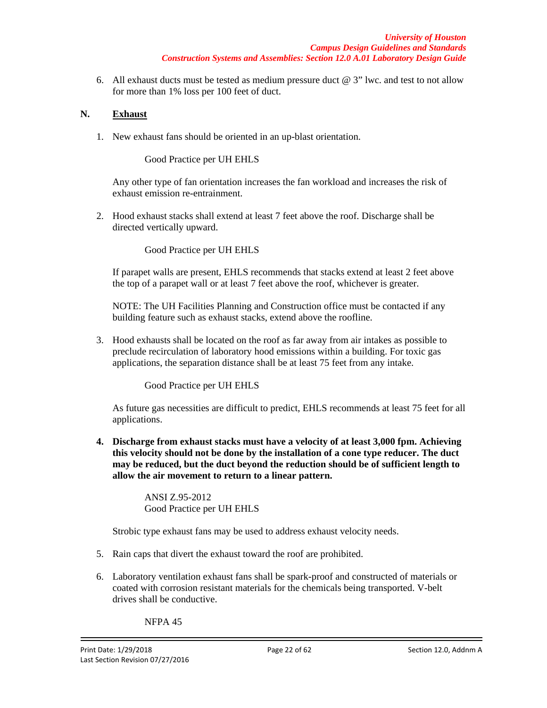6. All exhaust ducts must be tested as medium pressure duct  $@ 3"$  lwc. and test to not allow for more than 1% loss per 100 feet of duct.

### **N. Exhaust**

1. New exhaust fans should be oriented in an up-blast orientation.

Good Practice per UH EHLS

Any other type of fan orientation increases the fan workload and increases the risk of exhaust emission re-entrainment.

2. Hood exhaust stacks shall extend at least 7 feet above the roof. Discharge shall be directed vertically upward.

Good Practice per UH EHLS

If parapet walls are present, EHLS recommends that stacks extend at least 2 feet above the top of a parapet wall or at least 7 feet above the roof, whichever is greater.

NOTE: The UH Facilities Planning and Construction office must be contacted if any building feature such as exhaust stacks, extend above the roofline.

3. Hood exhausts shall be located on the roof as far away from air intakes as possible to preclude recirculation of laboratory hood emissions within a building. For toxic gas applications, the separation distance shall be at least 75 feet from any intake.

Good Practice per UH EHLS

As future gas necessities are difficult to predict, EHLS recommends at least 75 feet for all applications.

**4. Discharge from exhaust stacks must have a velocity of at least 3,000 fpm. Achieving this velocity should not be done by the installation of a cone type reducer. The duct may be reduced, but the duct beyond the reduction should be of sufficient length to allow the air movement to return to a linear pattern.**

> ANSI Z.95-2012 Good Practice per UH EHLS

Strobic type exhaust fans may be used to address exhaust velocity needs.

- 5. Rain caps that divert the exhaust toward the roof are prohibited.
- 6. Laboratory ventilation exhaust fans shall be spark-proof and constructed of materials or coated with corrosion resistant materials for the chemicals being transported. V-belt drives shall be conductive.

NFPA 45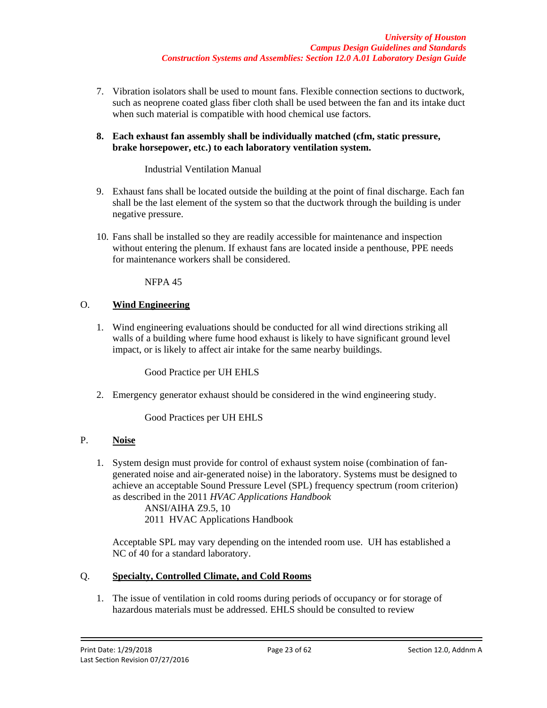- 7. Vibration isolators shall be used to mount fans. Flexible connection sections to ductwork, such as neoprene coated glass fiber cloth shall be used between the fan and its intake duct when such material is compatible with hood chemical use factors.
- **8. Each exhaust fan assembly shall be individually matched (cfm, static pressure, brake horsepower, etc.) to each laboratory ventilation system.**

## Industrial Ventilation Manual

- 9. Exhaust fans shall be located outside the building at the point of final discharge. Each fan shall be the last element of the system so that the ductwork through the building is under negative pressure.
- 10. Fans shall be installed so they are readily accessible for maintenance and inspection without entering the plenum. If exhaust fans are located inside a penthouse, PPE needs for maintenance workers shall be considered.

NFPA 45

## O. **Wind Engineering**

1. Wind engineering evaluations should be conducted for all wind directions striking all walls of a building where fume hood exhaust is likely to have significant ground level impact, or is likely to affect air intake for the same nearby buildings.

Good Practice per UH EHLS

2. Emergency generator exhaust should be considered in the wind engineering study.

Good Practices per UH EHLS

# P. **Noise**

1. System design must provide for control of exhaust system noise (combination of fangenerated noise and air-generated noise) in the laboratory. Systems must be designed to achieve an acceptable Sound Pressure Level (SPL) frequency spectrum (room criterion) as described in the 2011 *HVAC Applications Handbook*

ANSI/AIHA Z9.5, 10 2011 HVAC Applications Handbook

Acceptable SPL may vary depending on the intended room use. UH has established a NC of 40 for a standard laboratory.

## Q. **Specialty, Controlled Climate, and Cold Rooms**

1. The issue of ventilation in cold rooms during periods of occupancy or for storage of hazardous materials must be addressed. EHLS should be consulted to review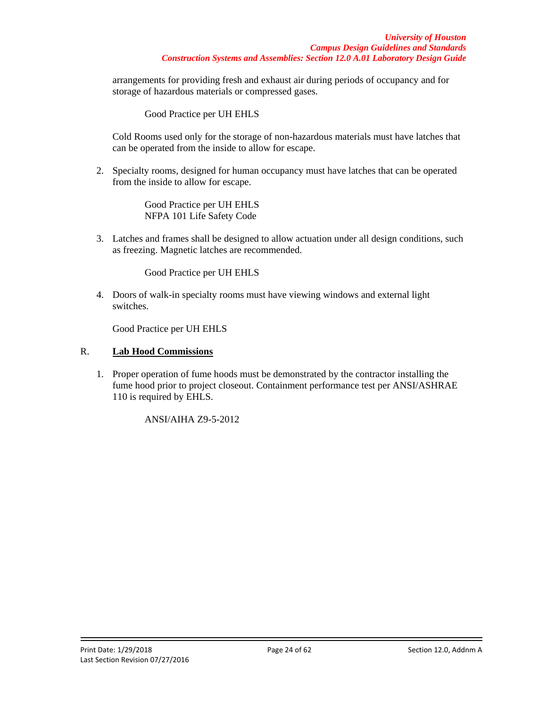arrangements for providing fresh and exhaust air during periods of occupancy and for storage of hazardous materials or compressed gases.

Good Practice per UH EHLS

Cold Rooms used only for the storage of non-hazardous materials must have latches that can be operated from the inside to allow for escape.

2. Specialty rooms, designed for human occupancy must have latches that can be operated from the inside to allow for escape.

> Good Practice per UH EHLS NFPA 101 Life Safety Code

3. Latches and frames shall be designed to allow actuation under all design conditions, such as freezing. Magnetic latches are recommended.

Good Practice per UH EHLS

4. Doors of walk-in specialty rooms must have viewing windows and external light switches.

Good Practice per UH EHLS

## R. **Lab Hood Commissions**

1. Proper operation of fume hoods must be demonstrated by the contractor installing the fume hood prior to project closeout. Containment performance test per ANSI/ASHRAE 110 is required by EHLS.

ANSI/AIHA Z9-5-2012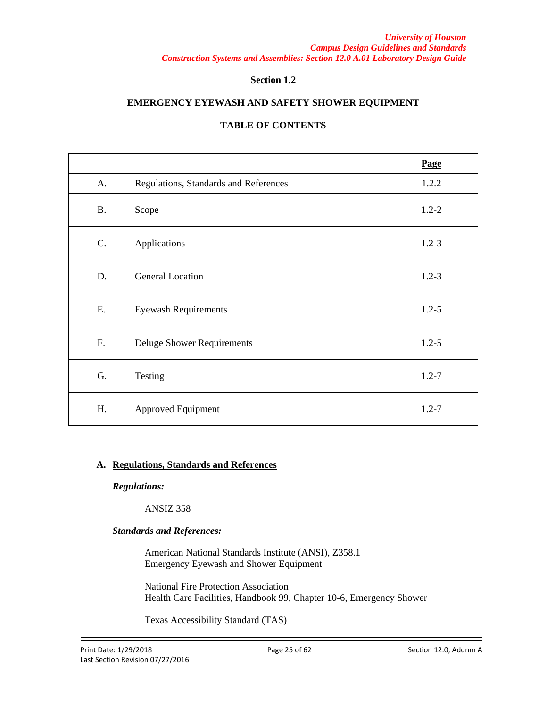## **Section 1.2**

## **EMERGENCY EYEWASH AND SAFETY SHOWER EQUIPMENT**

# **TABLE OF CONTENTS**

|           |                                       | Page      |
|-----------|---------------------------------------|-----------|
| A.        | Regulations, Standards and References | 1.2.2     |
| <b>B.</b> | Scope                                 | $1.2 - 2$ |
| C.        | Applications                          | $1.2 - 3$ |
| D.        | <b>General Location</b>               | $1.2 - 3$ |
| E.        | <b>Eyewash Requirements</b>           | $1.2 - 5$ |
| F.        | <b>Deluge Shower Requirements</b>     | $1.2 - 5$ |
| G.        | Testing                               | $1.2 - 7$ |
| H.        | Approved Equipment                    | $1.2 - 7$ |

### **A. Regulations, Standards and References**

*Regulations:*

ANSIZ 358

## *Standards and References:*

American National Standards Institute (ANSI), Z358.1 Emergency Eyewash and Shower Equipment

National Fire Protection Association Health Care Facilities, Handbook 99, Chapter 10-6, Emergency Shower

Texas Accessibility Standard (TAS)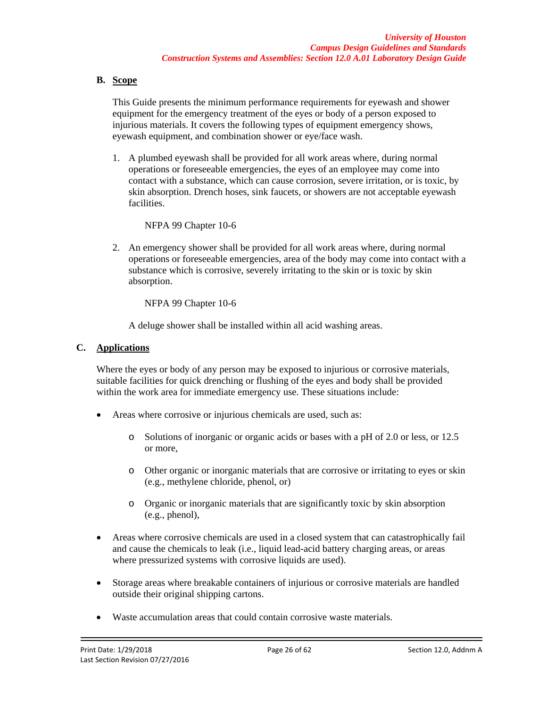## **B. Scope**

This Guide presents the minimum performance requirements for eyewash and shower equipment for the emergency treatment of the eyes or body of a person exposed to injurious materials. It covers the following types of equipment emergency shows, eyewash equipment, and combination shower or eye/face wash.

1. A plumbed eyewash shall be provided for all work areas where, during normal operations or foreseeable emergencies, the eyes of an employee may come into contact with a substance, which can cause corrosion, severe irritation, or is toxic, by skin absorption. Drench hoses, sink faucets, or showers are not acceptable eyewash facilities.

## NFPA 99 Chapter 10-6

2. An emergency shower shall be provided for all work areas where, during normal operations or foreseeable emergencies, area of the body may come into contact with a substance which is corrosive, severely irritating to the skin or is toxic by skin absorption.

NFPA 99 Chapter 10-6

A deluge shower shall be installed within all acid washing areas.

## **C. Applications**

Where the eyes or body of any person may be exposed to injurious or corrosive materials, suitable facilities for quick drenching or flushing of the eyes and body shall be provided within the work area for immediate emergency use. These situations include:

- Areas where corrosive or injurious chemicals are used, such as:
	- o Solutions of inorganic or organic acids or bases with a pH of 2.0 or less, or 12.5 or more,
	- o Other organic or inorganic materials that are corrosive or irritating to eyes or skin (e.g., methylene chloride, phenol, or)
	- o Organic or inorganic materials that are significantly toxic by skin absorption (e.g., phenol),
- Areas where corrosive chemicals are used in a closed system that can catastrophically fail and cause the chemicals to leak (i.e., liquid lead-acid battery charging areas, or areas where pressurized systems with corrosive liquids are used).
- Storage areas where breakable containers of injurious or corrosive materials are handled outside their original shipping cartons.
- Waste accumulation areas that could contain corrosive waste materials.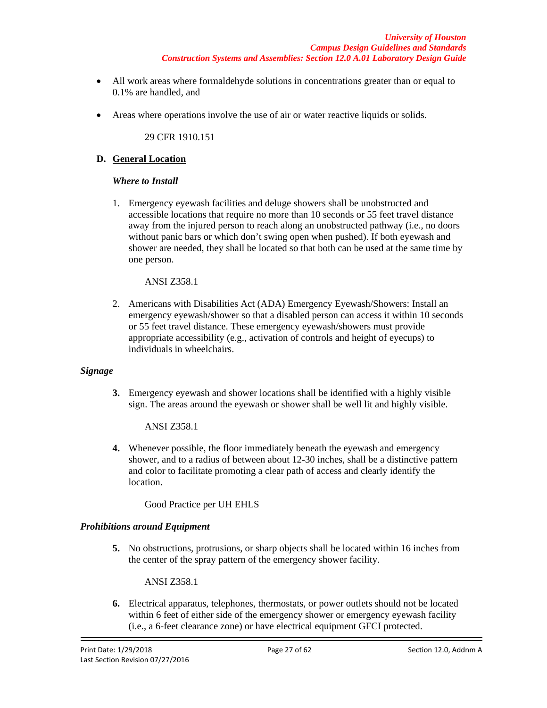- All work areas where formaldehyde solutions in concentrations greater than or equal to 0.1% are handled, and
- Areas where operations involve the use of air or water reactive liquids or solids.

29 CFR 1910.151

### **D. General Location**

### *Where to Install*

1. Emergency eyewash facilities and deluge showers shall be unobstructed and accessible locations that require no more than 10 seconds or 55 feet travel distance away from the injured person to reach along an unobstructed pathway (i.e., no doors without panic bars or which don't swing open when pushed). If both eyewash and shower are needed, they shall be located so that both can be used at the same time by one person.

### ANSI Z358.1

2. Americans with Disabilities Act (ADA) Emergency Eyewash/Showers: Install an emergency eyewash/shower so that a disabled person can access it within 10 seconds or 55 feet travel distance. These emergency eyewash/showers must provide appropriate accessibility (e.g., activation of controls and height of eyecups) to individuals in wheelchairs.

### *Signage*

**3.** Emergency eyewash and shower locations shall be identified with a highly visible sign. The areas around the eyewash or shower shall be well lit and highly visible.

ANSI Z358.1

**4.** Whenever possible, the floor immediately beneath the eyewash and emergency shower, and to a radius of between about 12-30 inches, shall be a distinctive pattern and color to facilitate promoting a clear path of access and clearly identify the location.

Good Practice per UH EHLS

### *Prohibitions around Equipment*

**5.** No obstructions, protrusions, or sharp objects shall be located within 16 inches from the center of the spray pattern of the emergency shower facility.

ANSI Z358.1

**6.** Electrical apparatus, telephones, thermostats, or power outlets should not be located within 6 feet of either side of the emergency shower or emergency eyewash facility (i.e., a 6-feet clearance zone) or have electrical equipment GFCI protected.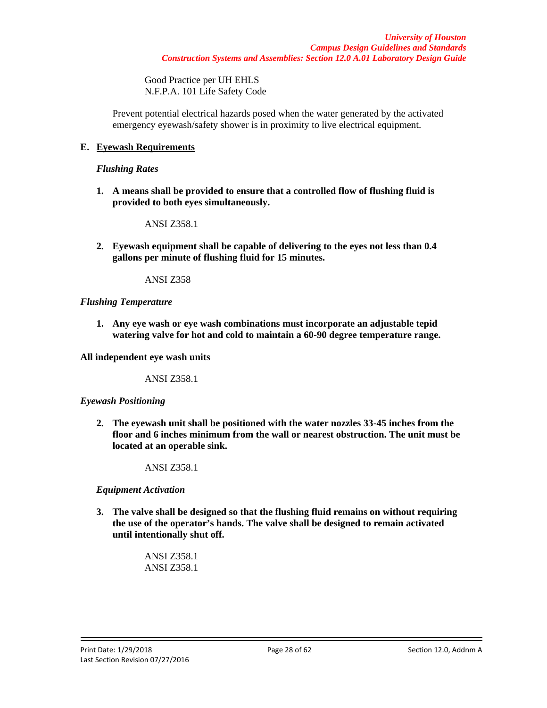Good Practice per UH EHLS N.F.P.A. 101 Life Safety Code

Prevent potential electrical hazards posed when the water generated by the activated emergency eyewash/safety shower is in proximity to live electrical equipment.

## **E. Eyewash Requirements**

#### *Flushing Rates*

**1. A means shall be provided to ensure that a controlled flow of flushing fluid is provided to both eyes simultaneously.**

ANSI Z358.1

**2. Eyewash equipment shall be capable of delivering to the eyes not less than 0.4 gallons per minute of flushing fluid for 15 minutes.**

ANSI Z358

### *Flushing Temperature*

**1. Any eye wash or eye wash combinations must incorporate an adjustable tepid watering valve for hot and cold to maintain a 60-90 degree temperature range.**

**All independent eye wash units** 

ANSI Z358.1

### *Eyewash Positioning*

**2. The eyewash unit shall be positioned with the water nozzles 33-45 inches from the floor and 6 inches minimum from the wall or nearest obstruction. The unit must be located at an operable sink.**

ANSI Z358.1

### *Equipment Activation*

**3. The valve shall be designed so that the flushing fluid remains on without requiring the use of the operator's hands. The valve shall be designed to remain activated until intentionally shut off.**

> ANSI Z358.1 ANSI Z358.1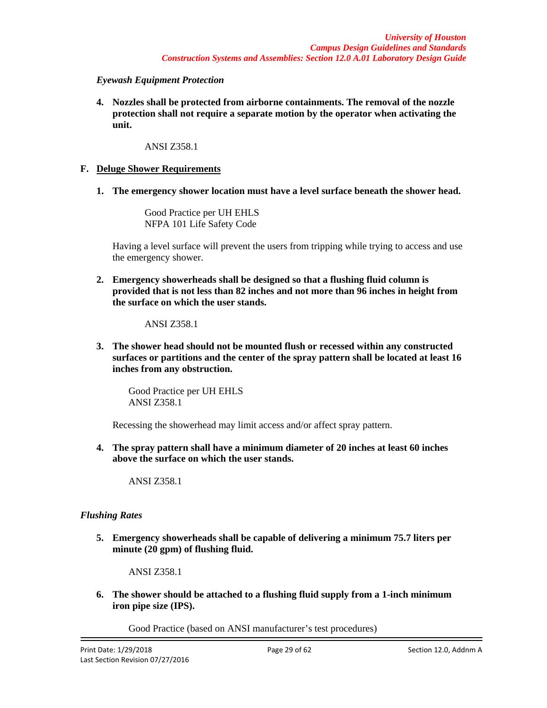#### *Eyewash Equipment Protection*

**4. Nozzles shall be protected from airborne containments. The removal of the nozzle protection shall not require a separate motion by the operator when activating the unit.**

#### ANSI Z358.1

### **F. Deluge Shower Requirements**

**1. The emergency shower location must have a level surface beneath the shower head.**

Good Practice per UH EHLS NFPA 101 Life Safety Code

Having a level surface will prevent the users from tripping while trying to access and use the emergency shower.

**2. Emergency showerheads shall be designed so that a flushing fluid column is provided that is not less than 82 inches and not more than 96 inches in height from the surface on which the user stands.**

ANSI Z358.1

**3. The shower head should not be mounted flush or recessed within any constructed surfaces or partitions and the center of the spray pattern shall be located at least 16 inches from any obstruction.**

Good Practice per UH EHLS ANSI Z358.1

Recessing the showerhead may limit access and/or affect spray pattern.

**4. The spray pattern shall have a minimum diameter of 20 inches at least 60 inches above the surface on which the user stands.**

ANSI Z358.1

### *Flushing Rates*

**5. Emergency showerheads shall be capable of delivering a minimum 75.7 liters per minute (20 gpm) of flushing fluid.**

ANSI Z358.1

**6. The shower should be attached to a flushing fluid supply from a 1-inch minimum iron pipe size (IPS).**

Good Practice (based on ANSI manufacturer's test procedures)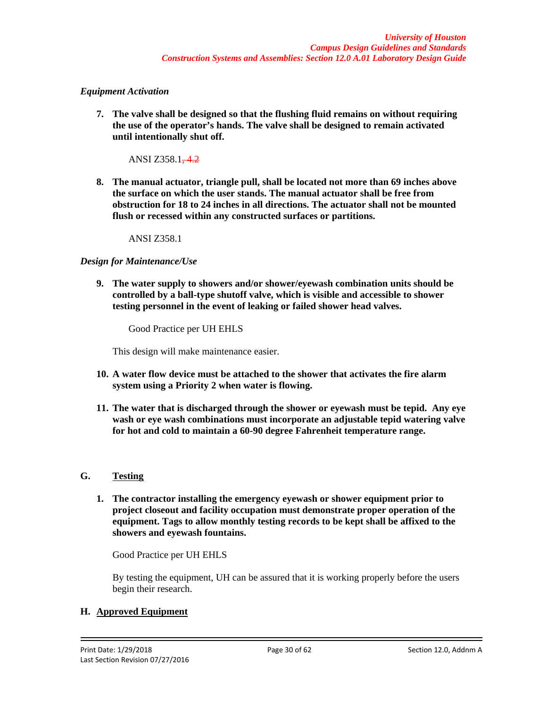## *Equipment Activation*

**7. The valve shall be designed so that the flushing fluid remains on without requiring the use of the operator's hands. The valve shall be designed to remain activated until intentionally shut off.**

ANSI Z358.1-4.2

**8. The manual actuator, triangle pull, shall be located not more than 69 inches above the surface on which the user stands. The manual actuator shall be free from obstruction for 18 to 24 inches in all directions. The actuator shall not be mounted flush or recessed within any constructed surfaces or partitions.**

ANSI Z358.1

## *Design for Maintenance/Use*

**9. The water supply to showers and/or shower/eyewash combination units should be controlled by a ball-type shutoff valve, which is visible and accessible to shower testing personnel in the event of leaking or failed shower head valves.**

Good Practice per UH EHLS

This design will make maintenance easier.

- **10. A water flow device must be attached to the shower that activates the fire alarm system using a Priority 2 when water is flowing.**
- **11. The water that is discharged through the shower or eyewash must be tepid. Any eye wash or eye wash combinations must incorporate an adjustable tepid watering valve for hot and cold to maintain a 60-90 degree Fahrenheit temperature range.**

## **G. Testing**

**1. The contractor installing the emergency eyewash or shower equipment prior to project closeout and facility occupation must demonstrate proper operation of the equipment. Tags to allow monthly testing records to be kept shall be affixed to the showers and eyewash fountains.**

Good Practice per UH EHLS

By testing the equipment, UH can be assured that it is working properly before the users begin their research.

## **H. Approved Equipment**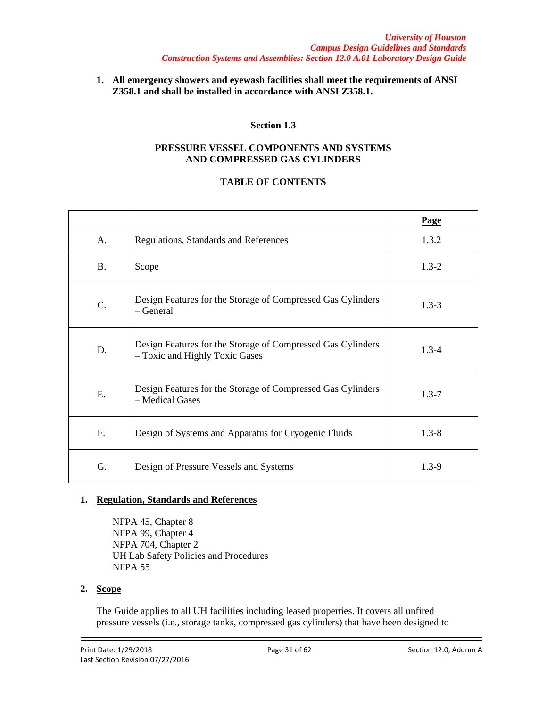**1. All emergency showers and eyewash facilities shall meet the requirements of ANSI Z358.1 and shall be installed in accordance with ANSI Z358.1.**

# **Section 1.3**

#### **PRESSURE VESSEL COMPONENTS AND SYSTEMS AND COMPRESSED GAS CYLINDERS**

## **TABLE OF CONTENTS**

|           |                                                                                               | Page      |
|-----------|-----------------------------------------------------------------------------------------------|-----------|
| A.        | Regulations, Standards and References                                                         | 1.3.2     |
| <b>B.</b> | Scope                                                                                         | $1.3 - 2$ |
| C.        | Design Features for the Storage of Compressed Gas Cylinders<br>– General                      | $1.3 - 3$ |
| D.        | Design Features for the Storage of Compressed Gas Cylinders<br>- Toxic and Highly Toxic Gases | $1.3 - 4$ |
| E.        | Design Features for the Storage of Compressed Gas Cylinders<br>- Medical Gases                | $1.3 - 7$ |
| F.        | Design of Systems and Apparatus for Cryogenic Fluids                                          | $1.3 - 8$ |
| G.        | Design of Pressure Vessels and Systems                                                        | $1.3 - 9$ |

## **1. Regulation, Standards and References**

NFPA 45, Chapter 8 NFPA 99, Chapter 4 NFPA 704, Chapter 2 UH Lab Safety Policies and Procedures NFPA 55

## **2. Scope**

The Guide applies to all UH facilities including leased properties. It covers all unfired pressure vessels (i.e., storage tanks, compressed gas cylinders) that have been designed to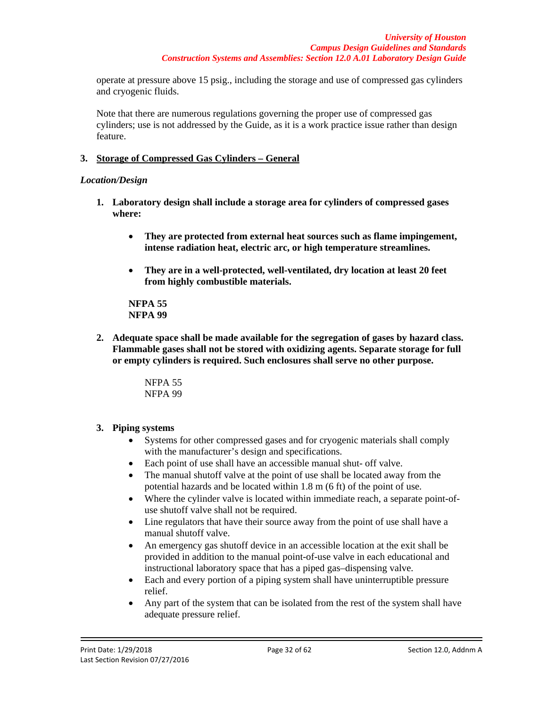operate at pressure above 15 psig., including the storage and use of compressed gas cylinders and cryogenic fluids.

Note that there are numerous regulations governing the proper use of compressed gas cylinders; use is not addressed by the Guide, as it is a work practice issue rather than design feature.

## **3. Storage of Compressed Gas Cylinders – General**

## *Location/Design*

- **1. Laboratory design shall include a storage area for cylinders of compressed gases where:**
	- **They are protected from external heat sources such as flame impingement, intense radiation heat, electric arc, or high temperature streamlines.**
	- **They are in a well-protected, well-ventilated, dry location at least 20 feet from highly combustible materials.**

**NFPA 55 NFPA 99**

**2. Adequate space shall be made available for the segregation of gases by hazard class. Flammable gases shall not be stored with oxidizing agents. Separate storage for full or empty cylinders is required. Such enclosures shall serve no other purpose.**

> NFPA 55 NFPA 99

## **3. Piping systems**

- Systems for other compressed gases and for cryogenic materials shall comply with the manufacturer's design and specifications.
- Each point of use shall have an accessible manual shut- off valve.
- The manual shutoff valve at the point of use shall be located away from the potential hazards and be located within 1.8 m (6 ft) of the point of use.
- Where the cylinder valve is located within immediate reach, a separate point-ofuse shutoff valve shall not be required.
- Line regulators that have their source away from the point of use shall have a manual shutoff valve.
- An emergency gas shutoff device in an accessible location at the exit shall be provided in addition to the manual point-of-use valve in each educational and instructional laboratory space that has a piped gas–dispensing valve.
- Each and every portion of a piping system shall have uninterruptible pressure relief.
- Any part of the system that can be isolated from the rest of the system shall have adequate pressure relief.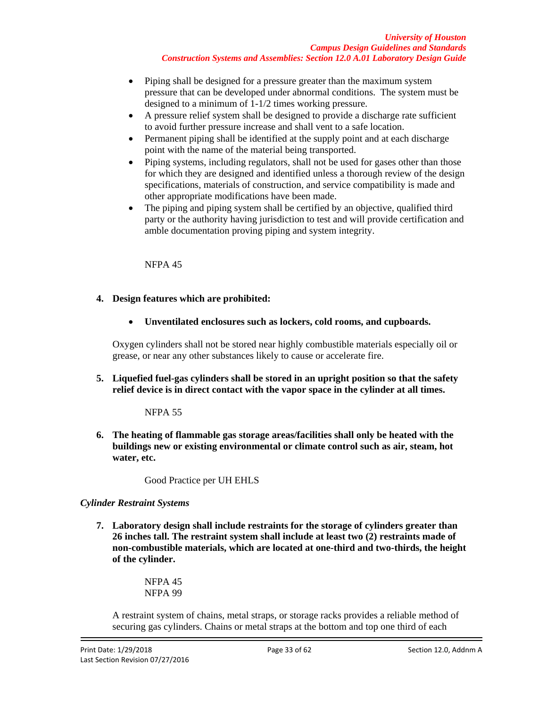- Piping shall be designed for a pressure greater than the maximum system pressure that can be developed under abnormal conditions. The system must be designed to a minimum of 1-1/2 times working pressure.
- A pressure relief system shall be designed to provide a discharge rate sufficient to avoid further pressure increase and shall vent to a safe location.
- Permanent piping shall be identified at the supply point and at each discharge point with the name of the material being transported.
- Piping systems, including regulators, shall not be used for gases other than those for which they are designed and identified unless a thorough review of the design specifications, materials of construction, and service compatibility is made and other appropriate modifications have been made.
- The piping and piping system shall be certified by an objective, qualified third party or the authority having jurisdiction to test and will provide certification and amble documentation proving piping and system integrity.

NFPA 45

## **4. Design features which are prohibited:**

• **Unventilated enclosures such as lockers, cold rooms, and cupboards.**

Oxygen cylinders shall not be stored near highly combustible materials especially oil or grease, or near any other substances likely to cause or accelerate fire.

**5. Liquefied fuel-gas cylinders shall be stored in an upright position so that the safety relief device is in direct contact with the vapor space in the cylinder at all times.**

NFPA 55

**6. The heating of flammable gas storage areas/facilities shall only be heated with the buildings new or existing environmental or climate control such as air, steam, hot water, etc.**

Good Practice per UH EHLS

### *Cylinder Restraint Systems*

**7. Laboratory design shall include restraints for the storage of cylinders greater than 26 inches tall. The restraint system shall include at least two (2) restraints made of non-combustible materials, which are located at one-third and two-thirds, the height of the cylinder.**

> NFPA 45 NFPA 99

A restraint system of chains, metal straps, or storage racks provides a reliable method of securing gas cylinders. Chains or metal straps at the bottom and top one third of each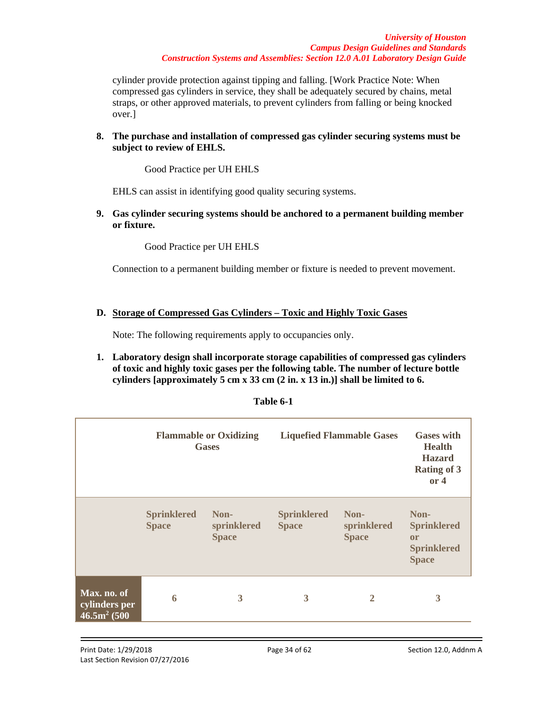cylinder provide protection against tipping and falling. [Work Practice Note: When compressed gas cylinders in service, they shall be adequately secured by chains, metal straps, or other approved materials, to prevent cylinders from falling or being knocked over.]

## **8. The purchase and installation of compressed gas cylinder securing systems must be subject to review of EHLS.**

Good Practice per UH EHLS

EHLS can assist in identifying good quality securing systems.

**9. Gas cylinder securing systems should be anchored to a permanent building member or fixture.**

Good Practice per UH EHLS

Connection to a permanent building member or fixture is needed to prevent movement.

## **D. Storage of Compressed Gas Cylinders – Toxic and Highly Toxic Gases**

Note: The following requirements apply to occupancies only.

**1. Laboratory design shall incorporate storage capabilities of compressed gas cylinders of toxic and highly toxic gases per the following table. The number of lecture bottle cylinders [approximately 5 cm x 33 cm (2 in. x 13 in.)] shall be limited to 6.**

| Table 6-1 |  |
|-----------|--|
|-----------|--|

|                                                |                                    | <b>Flammable or Oxidizing</b><br><b>Gases</b> |                                    | <b>Liquefied Flammable Gases</b>    | <b>Gases with</b><br><b>Health</b><br><b>Hazard</b><br><b>Rating of 3</b><br>or 4 |
|------------------------------------------------|------------------------------------|-----------------------------------------------|------------------------------------|-------------------------------------|-----------------------------------------------------------------------------------|
|                                                | <b>Sprinklered</b><br><b>Space</b> | Non-<br>sprinklered<br><b>Space</b>           | <b>Sprinklered</b><br><b>Space</b> | Non-<br>sprinklered<br><b>Space</b> | Non-<br><b>Sprinklered</b><br><b>or</b><br><b>Sprinklered</b><br><b>Space</b>     |
| Max. no. of<br>cylinders per<br>$46.5m^2(500)$ | 6                                  | 3                                             | 3                                  | $\overline{2}$                      | 3                                                                                 |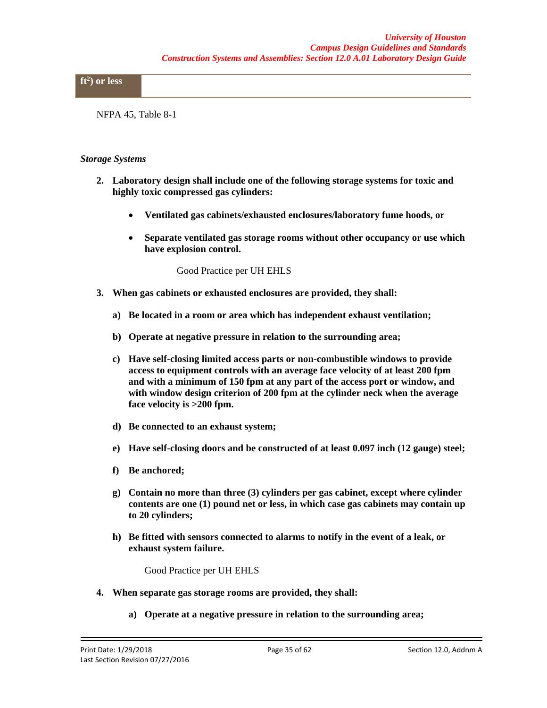## **ft2 ) or less**

NFPA 45, Table 8-1

#### *Storage Systems*

- **2. Laboratory design shall include one of the following storage systems for toxic and highly toxic compressed gas cylinders:**
	- **Ventilated gas cabinets/exhausted enclosures/laboratory fume hoods, or**
	- **Separate ventilated gas storage rooms without other occupancy or use which have explosion control.**

Good Practice per UH EHLS

- **3. When gas cabinets or exhausted enclosures are provided, they shall:**
	- **a) Be located in a room or area which has independent exhaust ventilation;**
	- **b) Operate at negative pressure in relation to the surrounding area;**
	- **c) Have self-closing limited access parts or non-combustible windows to provide access to equipment controls with an average face velocity of at least 200 fpm and with a minimum of 150 fpm at any part of the access port or window, and with window design criterion of 200 fpm at the cylinder neck when the average face velocity is >200 fpm.**
	- **d) Be connected to an exhaust system;**
	- **e) Have self-closing doors and be constructed of at least 0.097 inch (12 gauge) steel;**
	- **f) Be anchored;**
	- **g) Contain no more than three (3) cylinders per gas cabinet, except where cylinder contents are one (1) pound net or less, in which case gas cabinets may contain up to 20 cylinders;**
	- **h) Be fitted with sensors connected to alarms to notify in the event of a leak, or exhaust system failure.**

Good Practice per UH EHLS

- **4. When separate gas storage rooms are provided, they shall:**
	- **a) Operate at a negative pressure in relation to the surrounding area;**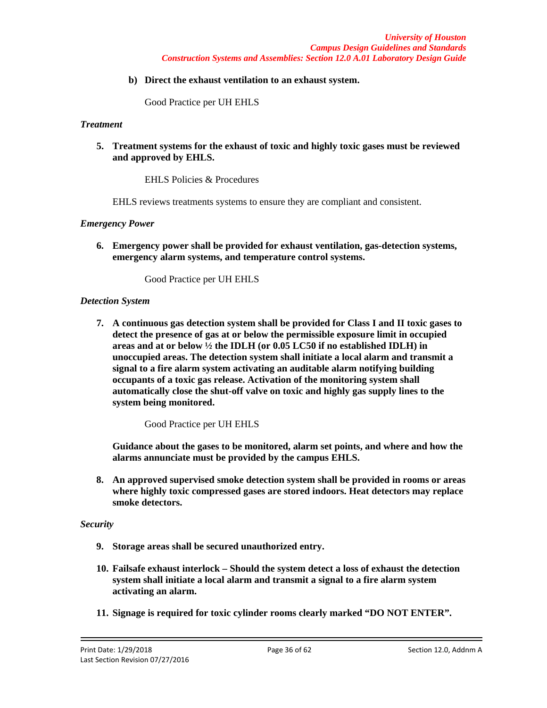**b) Direct the exhaust ventilation to an exhaust system.**

Good Practice per UH EHLS

## *Treatment*

**5. Treatment systems for the exhaust of toxic and highly toxic gases must be reviewed and approved by EHLS.**

EHLS Policies & Procedures

EHLS reviews treatments systems to ensure they are compliant and consistent.

#### *Emergency Power*

**6. Emergency power shall be provided for exhaust ventilation, gas-detection systems, emergency alarm systems, and temperature control systems.**

Good Practice per UH EHLS

#### *Detection System*

**7. A continuous gas detection system shall be provided for Class I and II toxic gases to detect the presence of gas at or below the permissible exposure limit in occupied areas and at or below ½ the IDLH (or 0.05 LC50 if no established IDLH) in unoccupied areas. The detection system shall initiate a local alarm and transmit a signal to a fire alarm system activating an auditable alarm notifying building occupants of a toxic gas release. Activation of the monitoring system shall automatically close the shut-off valve on toxic and highly gas supply lines to the system being monitored.**

Good Practice per UH EHLS

**Guidance about the gases to be monitored, alarm set points, and where and how the alarms annunciate must be provided by the campus EHLS.**

**8. An approved supervised smoke detection system shall be provided in rooms or areas where highly toxic compressed gases are stored indoors. Heat detectors may replace smoke detectors.**

#### *Security*

- **9. Storage areas shall be secured unauthorized entry.**
- **10. Failsafe exhaust interlock – Should the system detect a loss of exhaust the detection system shall initiate a local alarm and transmit a signal to a fire alarm system activating an alarm.**
- **11. Signage is required for toxic cylinder rooms clearly marked "DO NOT ENTER".**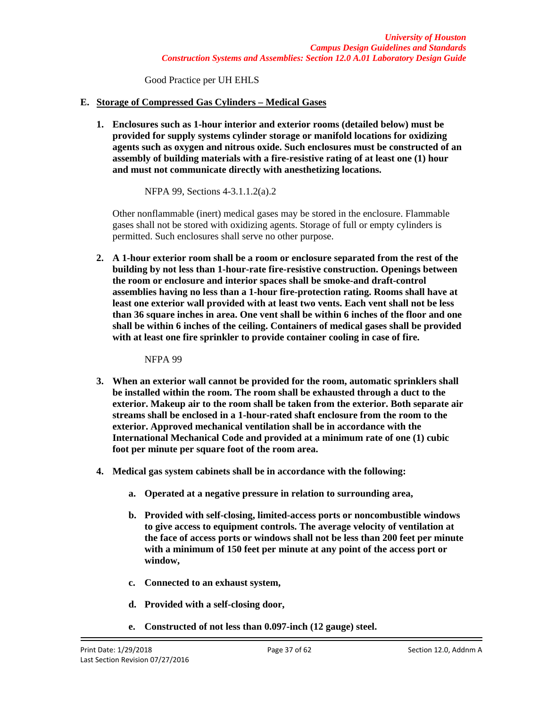Good Practice per UH EHLS

## **E. Storage of Compressed Gas Cylinders – Medical Gases**

**1. Enclosures such as 1-hour interior and exterior rooms (detailed below) must be provided for supply systems cylinder storage or manifold locations for oxidizing agents such as oxygen and nitrous oxide. Such enclosures must be constructed of an assembly of building materials with a fire-resistive rating of at least one (1) hour and must not communicate directly with anesthetizing locations.**

NFPA 99, Sections 4-3.1.1.2(a).2

Other nonflammable (inert) medical gases may be stored in the enclosure. Flammable gases shall not be stored with oxidizing agents. Storage of full or empty cylinders is permitted. Such enclosures shall serve no other purpose.

**2. A 1-hour exterior room shall be a room or enclosure separated from the rest of the building by not less than 1-hour-rate fire-resistive construction. Openings between the room or enclosure and interior spaces shall be smoke-and draft-control assemblies having no less than a 1-hour fire-protection rating. Rooms shall have at least one exterior wall provided with at least two vents. Each vent shall not be less than 36 square inches in area. One vent shall be within 6 inches of the floor and one shall be within 6 inches of the ceiling. Containers of medical gases shall be provided with at least one fire sprinkler to provide container cooling in case of fire.**

NFPA 99

- **3. When an exterior wall cannot be provided for the room, automatic sprinklers shall be installed within the room. The room shall be exhausted through a duct to the exterior. Makeup air to the room shall be taken from the exterior. Both separate air streams shall be enclosed in a 1-hour-rated shaft enclosure from the room to the exterior. Approved mechanical ventilation shall be in accordance with the International Mechanical Code and provided at a minimum rate of one (1) cubic foot per minute per square foot of the room area.**
- **4. Medical gas system cabinets shall be in accordance with the following:**
	- **a. Operated at a negative pressure in relation to surrounding area,**
	- **b. Provided with self-closing, limited-access ports or noncombustible windows to give access to equipment controls. The average velocity of ventilation at the face of access ports or windows shall not be less than 200 feet per minute with a minimum of 150 feet per minute at any point of the access port or window,**
	- **c. Connected to an exhaust system,**
	- **d. Provided with a self-closing door,**
	- **e. Constructed of not less than 0.097-inch (12 gauge) steel.**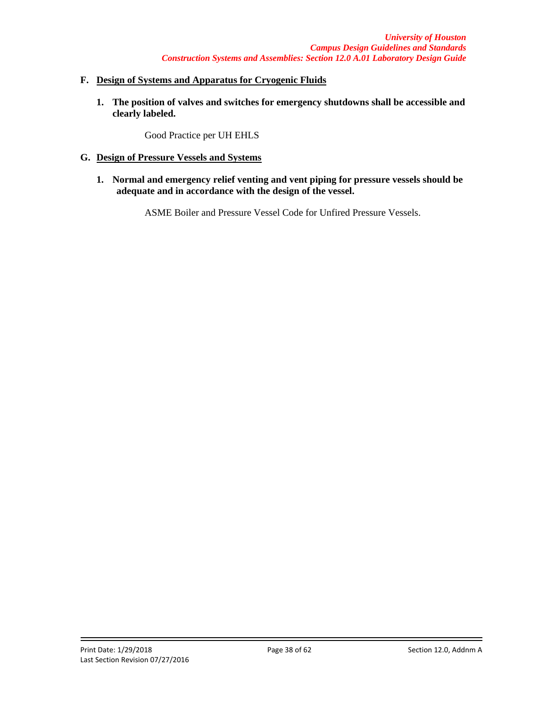## **F. Design of Systems and Apparatus for Cryogenic Fluids**

**1. The position of valves and switches for emergency shutdowns shall be accessible and clearly labeled.**

Good Practice per UH EHLS

- **G. Design of Pressure Vessels and Systems**
	- **1. Normal and emergency relief venting and vent piping for pressure vessels should be adequate and in accordance with the design of the vessel.**

ASME Boiler and Pressure Vessel Code for Unfired Pressure Vessels.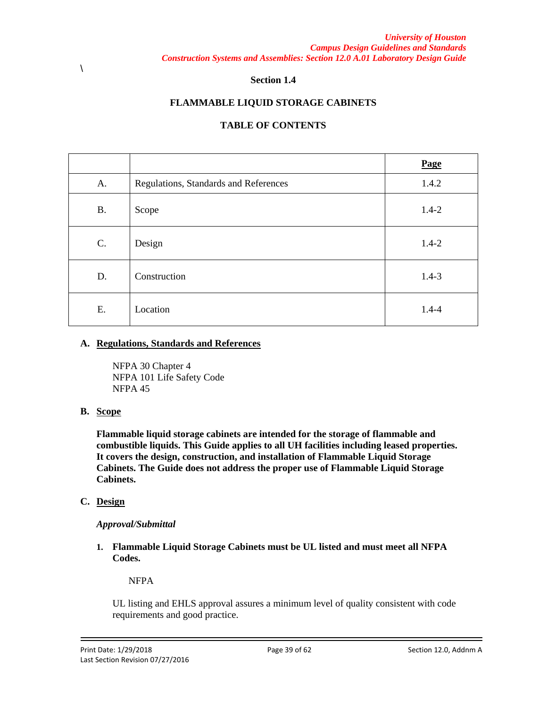#### **Section 1.4**

## **FLAMMABLE LIQUID STORAGE CABINETS**

## **TABLE OF CONTENTS**

|           |                                       | Page      |
|-----------|---------------------------------------|-----------|
| A.        | Regulations, Standards and References | 1.4.2     |
| <b>B.</b> | Scope                                 | $1.4 - 2$ |
| C.        | Design                                | $1.4 - 2$ |
| D.        | Construction                          | $1.4 - 3$ |
| E.        | Location                              | $1.4 - 4$ |

### **A. Regulations, Standards and References**

NFPA 30 Chapter 4 NFPA 101 Life Safety Code NFPA 45

### **B. Scope**

**Flammable liquid storage cabinets are intended for the storage of flammable and combustible liquids. This Guide applies to all UH facilities including leased properties. It covers the design, construction, and installation of Flammable Liquid Storage Cabinets. The Guide does not address the proper use of Flammable Liquid Storage Cabinets.**

### **C. Design**

### *Approval/Submittal*

**1. Flammable Liquid Storage Cabinets must be UL listed and must meet all NFPA Codes.**

NFPA

UL listing and EHLS approval assures a minimum level of quality consistent with code requirements and good practice.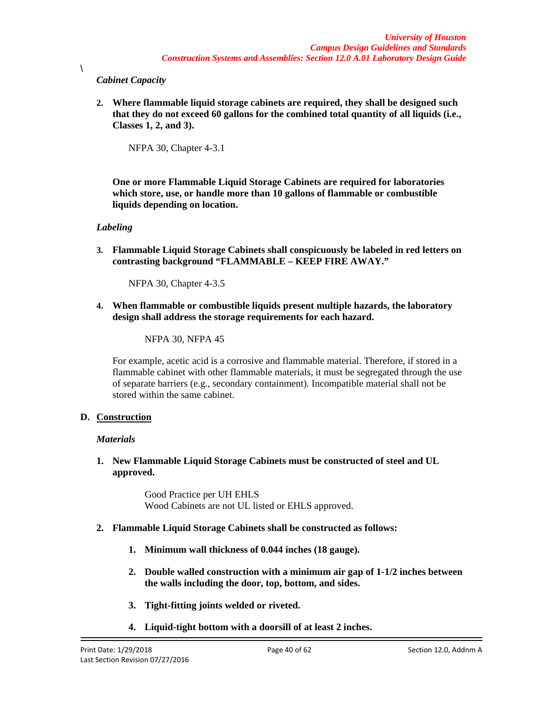## *Cabinet Capacity*

 $\lambda$ 

**2. Where flammable liquid storage cabinets are required, they shall be designed such that they do not exceed 60 gallons for the combined total quantity of all liquids (i.e., Classes 1, 2, and 3).**

NFPA 30, Chapter 4-3.1

**One or more Flammable Liquid Storage Cabinets are required for laboratories which store, use, or handle more than 10 gallons of flammable or combustible liquids depending on location.**

## *Labeling*

**3. Flammable Liquid Storage Cabinets shall conspicuously be labeled in red letters on contrasting background "FLAMMABLE – KEEP FIRE AWAY."**

NFPA 30, Chapter 4-3.5

**4. When flammable or combustible liquids present multiple hazards, the laboratory design shall address the storage requirements for each hazard.**

NFPA 30, NFPA 45

For example, acetic acid is a corrosive and flammable material. Therefore, if stored in a flammable cabinet with other flammable materials, it must be segregated through the use of separate barriers (e.g., secondary containment). Incompatible material shall not be stored within the same cabinet.

## **D. Construction**

### *Materials*

**1. New Flammable Liquid Storage Cabinets must be constructed of steel and UL approved.**

> Good Practice per UH EHLS Wood Cabinets are not UL listed or EHLS approved.

## **2. Flammable Liquid Storage Cabinets shall be constructed as follows:**

- **1. Minimum wall thickness of 0.044 inches (18 gauge).**
- **2. Double walled construction with a minimum air gap of 1-1/2 inches between the walls including the door, top, bottom, and sides.**
- **3. Tight-fitting joints welded or riveted.**
- **4. Liquid-tight bottom with a doorsill of at least 2 inches.**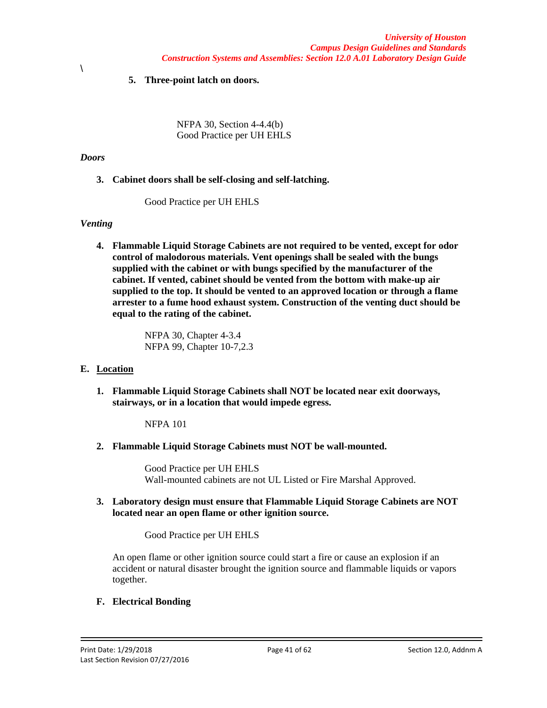## **5. Three-point latch on doors.**

NFPA 30, Section 4-4.4(b) Good Practice per UH EHLS

#### *Doors*

\

**3. Cabinet doors shall be self-closing and self-latching.**

Good Practice per UH EHLS

### *Venting*

**4. Flammable Liquid Storage Cabinets are not required to be vented, except for odor control of malodorous materials. Vent openings shall be sealed with the bungs supplied with the cabinet or with bungs specified by the manufacturer of the cabinet. If vented, cabinet should be vented from the bottom with make-up air supplied to the top. It should be vented to an approved location or through a flame arrester to a fume hood exhaust system. Construction of the venting duct should be equal to the rating of the cabinet.**

> NFPA 30, Chapter 4-3.4 NFPA 99, Chapter 10-7,2.3

### **E. Location**

**1. Flammable Liquid Storage Cabinets shall NOT be located near exit doorways, stairways, or in a location that would impede egress.**

NFPA 101

**2. Flammable Liquid Storage Cabinets must NOT be wall-mounted.**

Good Practice per UH EHLS Wall-mounted cabinets are not UL Listed or Fire Marshal Approved.

**3. Laboratory design must ensure that Flammable Liquid Storage Cabinets are NOT located near an open flame or other ignition source.**

Good Practice per UH EHLS

An open flame or other ignition source could start a fire or cause an explosion if an accident or natural disaster brought the ignition source and flammable liquids or vapors together.

### **F. Electrical Bonding**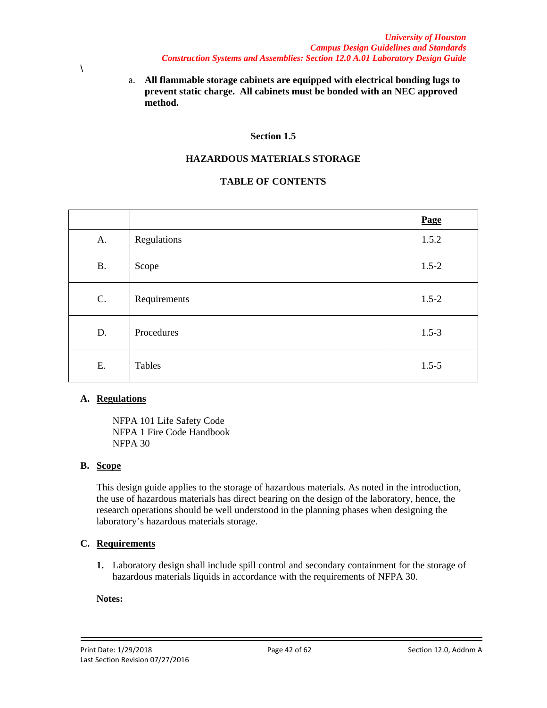- \
- a. **All flammable storage cabinets are equipped with electrical bonding lugs to prevent static charge. All cabinets must be bonded with an NEC approved method.**

### **Section 1.5**

## **HAZARDOUS MATERIALS STORAGE**

## **TABLE OF CONTENTS**

|           |              | Page      |
|-----------|--------------|-----------|
| A.        | Regulations  | 1.5.2     |
| <b>B.</b> | Scope        | $1.5 - 2$ |
| C.        | Requirements | $1.5 - 2$ |
| D.        | Procedures   | $1.5 - 3$ |
| Ε.        | Tables       | $1.5 - 5$ |

### **A. Regulations**

NFPA 101 Life Safety Code NFPA 1 Fire Code Handbook NFPA 30

### **B. Scope**

This design guide applies to the storage of hazardous materials. As noted in the introduction, the use of hazardous materials has direct bearing on the design of the laboratory, hence, the research operations should be well understood in the planning phases when designing the laboratory's hazardous materials storage.

### **C. Requirements**

**1.** Laboratory design shall include spill control and secondary containment for the storage of hazardous materials liquids in accordance with the requirements of NFPA 30.

#### **Notes:**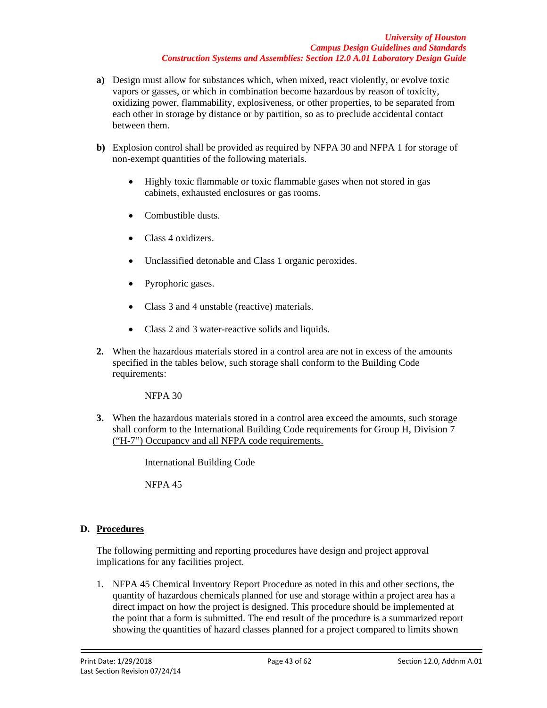- **a)** Design must allow for substances which, when mixed, react violently, or evolve toxic vapors or gasses, or which in combination become hazardous by reason of toxicity, oxidizing power, flammability, explosiveness, or other properties, to be separated from each other in storage by distance or by partition, so as to preclude accidental contact between them.
- **b)** Explosion control shall be provided as required by NFPA 30 and NFPA 1 for storage of non-exempt quantities of the following materials.
	- Highly toxic flammable or toxic flammable gases when not stored in gas cabinets, exhausted enclosures or gas rooms.
	- Combustible dusts.
	- Class 4 oxidizers.
	- Unclassified detonable and Class 1 organic peroxides.
	- Pyrophoric gases.
	- Class 3 and 4 unstable (reactive) materials.
	- Class 2 and 3 water-reactive solids and liquids.
- **2.** When the hazardous materials stored in a control area are not in excess of the amounts specified in the tables below, such storage shall conform to the Building Code requirements:

NFPA 30

**3.** When the hazardous materials stored in a control area exceed the amounts, such storage shall conform to the International Building Code requirements for Group H, Division 7 ("H-7") Occupancy and all NFPA code requirements.

International Building Code

NFPA 45

## **D. Procedures**

The following permitting and reporting procedures have design and project approval implications for any facilities project.

1. NFPA 45 Chemical Inventory Report Procedure as noted in this and other sections, the quantity of hazardous chemicals planned for use and storage within a project area has a direct impact on how the project is designed. This procedure should be implemented at the point that a form is submitted. The end result of the procedure is a summarized report showing the quantities of hazard classes planned for a project compared to limits shown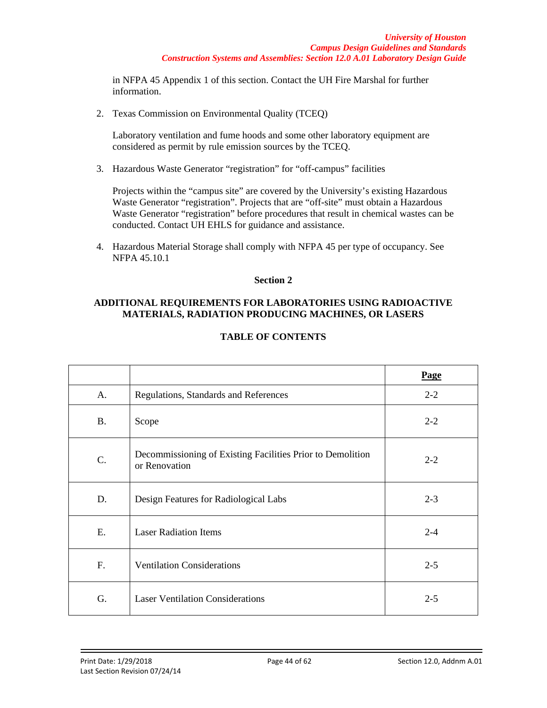in NFPA 45 Appendix 1 of this section. Contact the UH Fire Marshal for further information.

2. Texas Commission on Environmental Quality (TCEQ)

Laboratory ventilation and fume hoods and some other laboratory equipment are considered as permit by rule emission sources by the TCEQ.

3. Hazardous Waste Generator "registration" for "off-campus" facilities

Projects within the "campus site" are covered by the University's existing Hazardous Waste Generator "registration". Projects that are "off-site" must obtain a Hazardous Waste Generator "registration" before procedures that result in chemical wastes can be conducted. Contact UH EHLS for guidance and assistance.

4. Hazardous Material Storage shall comply with NFPA 45 per type of occupancy. See NFPA 45.10.1

### **Section 2**

### **ADDITIONAL REQUIREMENTS FOR LABORATORIES USING RADIOACTIVE MATERIALS, RADIATION PRODUCING MACHINES, OR LASERS**

|           |                                                                             | Page    |
|-----------|-----------------------------------------------------------------------------|---------|
| A.        | Regulations, Standards and References                                       | $2 - 2$ |
| <b>B.</b> | Scope                                                                       | $2 - 2$ |
| C.        | Decommissioning of Existing Facilities Prior to Demolition<br>or Renovation | $2 - 2$ |
| D.        | Design Features for Radiological Labs                                       | $2 - 3$ |
| E.        | <b>Laser Radiation Items</b>                                                | $2 - 4$ |
| F.        | <b>Ventilation Considerations</b>                                           | $2 - 5$ |
| G.        | <b>Laser Ventilation Considerations</b>                                     | $2 - 5$ |

## **TABLE OF CONTENTS**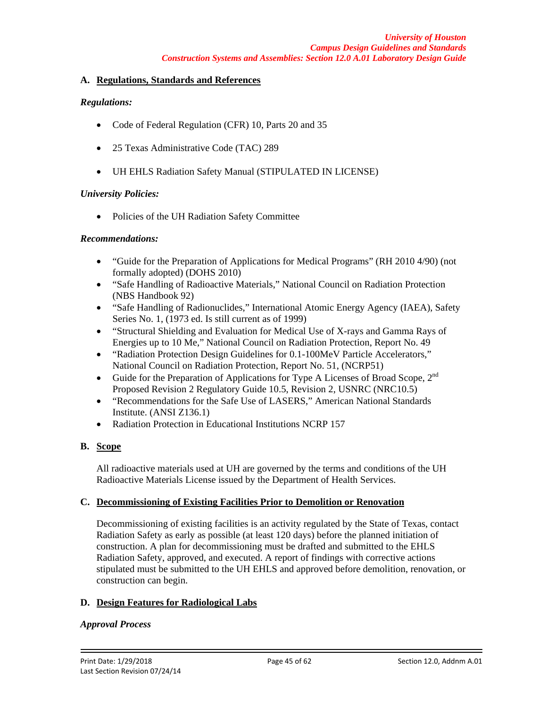#### **A. Regulations, Standards and References**

### *Regulations:*

- Code of Federal Regulation (CFR) 10, Parts 20 and 35
- 25 Texas Administrative Code (TAC) 289
- UH EHLS Radiation Safety Manual (STIPULATED IN LICENSE)

### *University Policies:*

• Policies of the UH Radiation Safety Committee

### *Recommendations:*

- "Guide for the Preparation of Applications for Medical Programs" (RH 2010 4/90) (not formally adopted) (DOHS 2010)
- "Safe Handling of Radioactive Materials," National Council on Radiation Protection (NBS Handbook 92)
- "Safe Handling of Radionuclides," International Atomic Energy Agency (IAEA), Safety Series No. 1, (1973 ed. Is still current as of 1999)
- "Structural Shielding and Evaluation for Medical Use of X-rays and Gamma Rays of Energies up to 10 Me," National Council on Radiation Protection, Report No. 49
- "Radiation Protection Design Guidelines for 0.1-100MeV Particle Accelerators," National Council on Radiation Protection, Report No. 51, (NCRP51)
- Guide for the Preparation of Applications for Type A Licenses of Broad Scope, 2<sup>nd</sup> Proposed Revision 2 Regulatory Guide 10.5, Revision 2, USNRC (NRC10.5)
- "Recommendations for the Safe Use of LASERS," American National Standards Institute. (ANSI Z136.1)
- Radiation Protection in Educational Institutions NCRP 157

### **B. Scope**

All radioactive materials used at UH are governed by the terms and conditions of the UH Radioactive Materials License issued by the Department of Health Services.

### **C. Decommissioning of Existing Facilities Prior to Demolition or Renovation**

Decommissioning of existing facilities is an activity regulated by the State of Texas, contact Radiation Safety as early as possible (at least 120 days) before the planned initiation of construction. A plan for decommissioning must be drafted and submitted to the EHLS Radiation Safety, approved, and executed. A report of findings with corrective actions stipulated must be submitted to the UH EHLS and approved before demolition, renovation, or construction can begin.

## **D. Design Features for Radiological Labs**

### *Approval Process*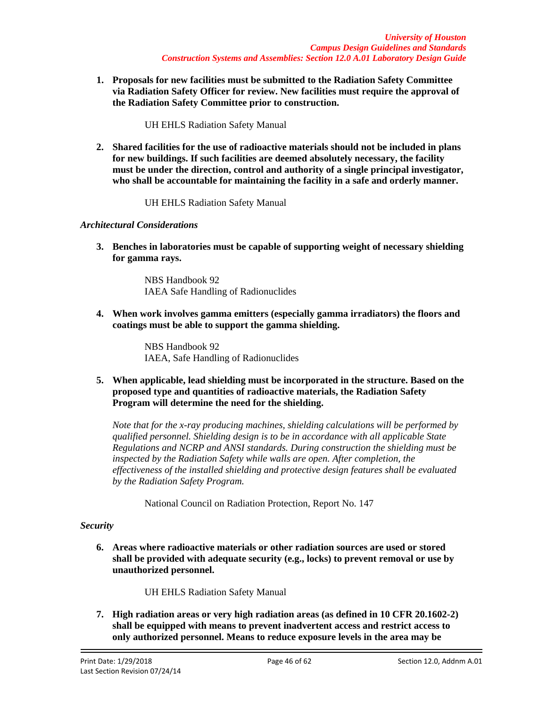**1. Proposals for new facilities must be submitted to the Radiation Safety Committee via Radiation Safety Officer for review. New facilities must require the approval of the Radiation Safety Committee prior to construction.**

UH EHLS Radiation Safety Manual

**2. Shared facilities for the use of radioactive materials should not be included in plans for new buildings. If such facilities are deemed absolutely necessary, the facility must be under the direction, control and authority of a single principal investigator, who shall be accountable for maintaining the facility in a safe and orderly manner.**

UH EHLS Radiation Safety Manual

## *Architectural Considerations*

**3. Benches in laboratories must be capable of supporting weight of necessary shielding for gamma rays.**

> NBS Handbook 92 IAEA Safe Handling of Radionuclides

**4. When work involves gamma emitters (especially gamma irradiators) the floors and coatings must be able to support the gamma shielding.**

> NBS Handbook 92 IAEA, Safe Handling of Radionuclides

**5. When applicable, lead shielding must be incorporated in the structure. Based on the proposed type and quantities of radioactive materials, the Radiation Safety Program will determine the need for the shielding.**

*Note that for the x-ray producing machines, shielding calculations will be performed by qualified personnel. Shielding design is to be in accordance with all applicable State Regulations and NCRP and ANSI standards. During construction the shielding must be inspected by the Radiation Safety while walls are open. After completion, the effectiveness of the installed shielding and protective design features shall be evaluated by the Radiation Safety Program.*

National Council on Radiation Protection, Report No. 147

### *Security*

**6. Areas where radioactive materials or other radiation sources are used or stored shall be provided with adequate security (e.g., locks) to prevent removal or use by unauthorized personnel.**

UH EHLS Radiation Safety Manual

**7. High radiation areas or very high radiation areas (as defined in 10 CFR 20.1602-2) shall be equipped with means to prevent inadvertent access and restrict access to only authorized personnel. Means to reduce exposure levels in the area may be**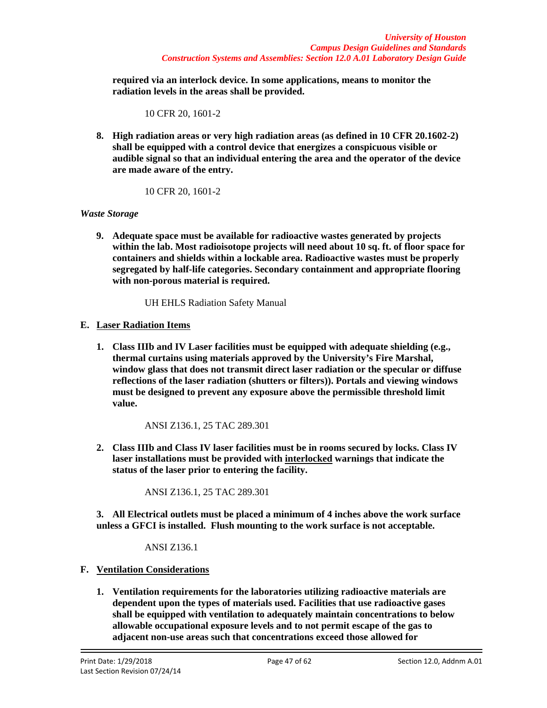**required via an interlock device. In some applications, means to monitor the radiation levels in the areas shall be provided.**

10 CFR 20, 1601-2

**8. High radiation areas or very high radiation areas (as defined in 10 CFR 20.1602-2) shall be equipped with a control device that energizes a conspicuous visible or audible signal so that an individual entering the area and the operator of the device are made aware of the entry.**

10 CFR 20, 1601-2

## *Waste Storage*

**9. Adequate space must be available for radioactive wastes generated by projects within the lab. Most radioisotope projects will need about 10 sq. ft. of floor space for containers and shields within a lockable area. Radioactive wastes must be properly segregated by half-life categories. Secondary containment and appropriate flooring with non-porous material is required.**

UH EHLS Radiation Safety Manual

## **E. Laser Radiation Items**

**1. Class IIIb and IV Laser facilities must be equipped with adequate shielding (e.g., thermal curtains using materials approved by the University's Fire Marshal, window glass that does not transmit direct laser radiation or the specular or diffuse reflections of the laser radiation (shutters or filters)). Portals and viewing windows must be designed to prevent any exposure above the permissible threshold limit value.**

ANSI Z136.1, 25 TAC 289.301

**2. Class IIIb and Class IV laser facilities must be in rooms secured by locks. Class IV laser installations must be provided with interlocked warnings that indicate the status of the laser prior to entering the facility.**

ANSI Z136.1, 25 TAC 289.301

**3. All Electrical outlets must be placed a minimum of 4 inches above the work surface unless a GFCI is installed. Flush mounting to the work surface is not acceptable.** 

ANSI Z136.1

- **F. Ventilation Considerations**
	- **1. Ventilation requirements for the laboratories utilizing radioactive materials are dependent upon the types of materials used. Facilities that use radioactive gases shall be equipped with ventilation to adequately maintain concentrations to below allowable occupational exposure levels and to not permit escape of the gas to adjacent non-use areas such that concentrations exceed those allowed for**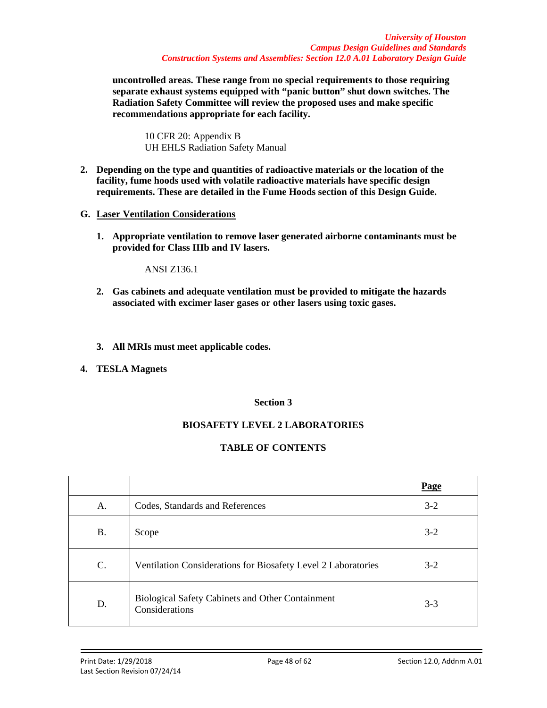**uncontrolled areas. These range from no special requirements to those requiring separate exhaust systems equipped with "panic button" shut down switches. The Radiation Safety Committee will review the proposed uses and make specific recommendations appropriate for each facility.**

10 CFR 20: Appendix B UH EHLS Radiation Safety Manual

- **2. Depending on the type and quantities of radioactive materials or the location of the facility, fume hoods used with volatile radioactive materials have specific design requirements. These are detailed in the Fume Hoods section of this Design Guide.**
- **G. Laser Ventilation Considerations**
	- **1. Appropriate ventilation to remove laser generated airborne contaminants must be provided for Class IIIb and IV lasers.**

ANSI Z136.1

- **2. Gas cabinets and adequate ventilation must be provided to mitigate the hazards associated with excimer laser gases or other lasers using toxic gases.**
- **3. All MRIs must meet applicable codes.**
- **4. TESLA Magnets**

## **Section 3**

# **BIOSAFETY LEVEL 2 LABORATORIES**

# **TABLE OF CONTENTS**

|           |                                                                           | Page    |
|-----------|---------------------------------------------------------------------------|---------|
| А.        | Codes, Standards and References                                           | $3 - 2$ |
| <b>B.</b> | Scope                                                                     | $3-2$   |
| C.        | Ventilation Considerations for Biosafety Level 2 Laboratories             | $3-2$   |
| D.        | <b>Biological Safety Cabinets and Other Containment</b><br>Considerations | $3 - 3$ |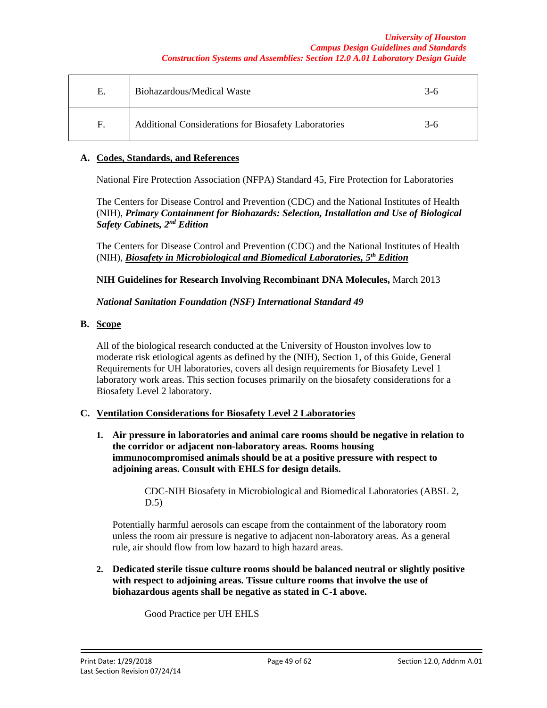#### *University of Houston Campus Design Guidelines and Standards Construction Systems and Assemblies: Section 12.0 A.01 Laboratory Design Guide*

| Е. | Biohazardous/Medical Waste                           | 3-6 |
|----|------------------------------------------------------|-----|
| F. | Additional Considerations for Biosafety Laboratories | 3-6 |

### **A. Codes, Standards, and References**

National Fire Protection Association (NFPA) Standard 45, Fire Protection for Laboratories

The Centers for Disease Control and Prevention (CDC) and the National Institutes of Health (NIH), *Primary Containment for Biohazards: Selection, Installation and Use of Biological Safety Cabinets, 2nd Edition*

The Centers for Disease Control and Prevention (CDC) and the National Institutes of Health (NIH), *Biosafety in Microbiological and Biomedical Laboratories, 5th Edition*

**NIH Guidelines for Research Involving Recombinant DNA Molecules,** March 2013

### *National Sanitation Foundation (NSF) International Standard 49*

## **B. Scope**

All of the biological research conducted at the University of Houston involves low to moderate risk etiological agents as defined by the (NIH), Section 1, of this Guide, General Requirements for UH laboratories, covers all design requirements for Biosafety Level 1 laboratory work areas. This section focuses primarily on the biosafety considerations for a Biosafety Level 2 laboratory.

### **C. Ventilation Considerations for Biosafety Level 2 Laboratories**

**1. Air pressure in laboratories and animal care rooms should be negative in relation to the corridor or adjacent non-laboratory areas. Rooms housing immunocompromised animals should be at a positive pressure with respect to adjoining areas. Consult with EHLS for design details.**

> CDC-NIH Biosafety in Microbiological and Biomedical Laboratories (ABSL 2, D.5)

Potentially harmful aerosols can escape from the containment of the laboratory room unless the room air pressure is negative to adjacent non-laboratory areas. As a general rule, air should flow from low hazard to high hazard areas.

**2. Dedicated sterile tissue culture rooms should be balanced neutral or slightly positive with respect to adjoining areas. Tissue culture rooms that involve the use of biohazardous agents shall be negative as stated in C-1 above.**

Good Practice per UH EHLS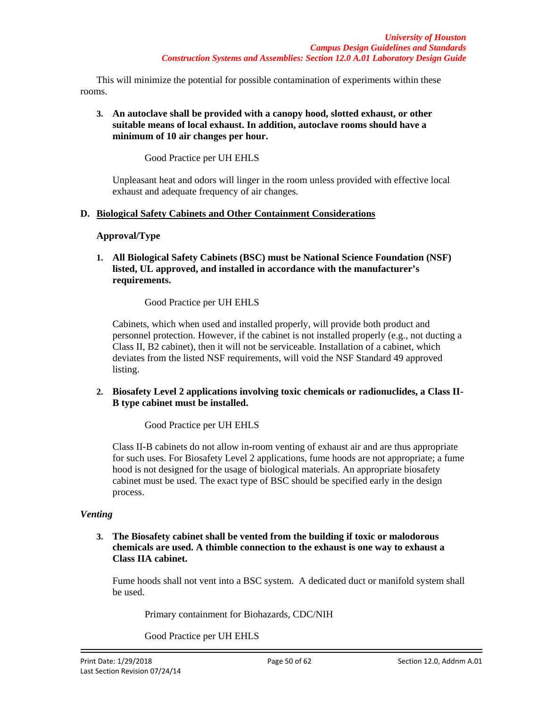This will minimize the potential for possible contamination of experiments within these rooms.

## **3. An autoclave shall be provided with a canopy hood, slotted exhaust, or other suitable means of local exhaust. In addition, autoclave rooms should have a minimum of 10 air changes per hour.**

Good Practice per UH EHLS

Unpleasant heat and odors will linger in the room unless provided with effective local exhaust and adequate frequency of air changes.

## **D. Biological Safety Cabinets and Other Containment Considerations**

## **Approval/Type**

**1. All Biological Safety Cabinets (BSC) must be National Science Foundation (NSF) listed, UL approved, and installed in accordance with the manufacturer's requirements.**

Good Practice per UH EHLS

Cabinets, which when used and installed properly, will provide both product and personnel protection. However, if the cabinet is not installed properly (e.g., not ducting a Class II, B2 cabinet), then it will not be serviceable. Installation of a cabinet, which deviates from the listed NSF requirements, will void the NSF Standard 49 approved listing.

## **2. Biosafety Level 2 applications involving toxic chemicals or radionuclides, a Class II-B type cabinet must be installed.**

Good Practice per UH EHLS

Class II-B cabinets do not allow in-room venting of exhaust air and are thus appropriate for such uses. For Biosafety Level 2 applications, fume hoods are not appropriate; a fume hood is not designed for the usage of biological materials. An appropriate biosafety cabinet must be used. The exact type of BSC should be specified early in the design process.

## *Venting*

**3. The Biosafety cabinet shall be vented from the building if toxic or malodorous chemicals are used. A thimble connection to the exhaust is one way to exhaust a Class IIA cabinet.**

Fume hoods shall not vent into a BSC system. A dedicated duct or manifold system shall be used.

Primary containment for Biohazards, CDC/NIH

Good Practice per UH EHLS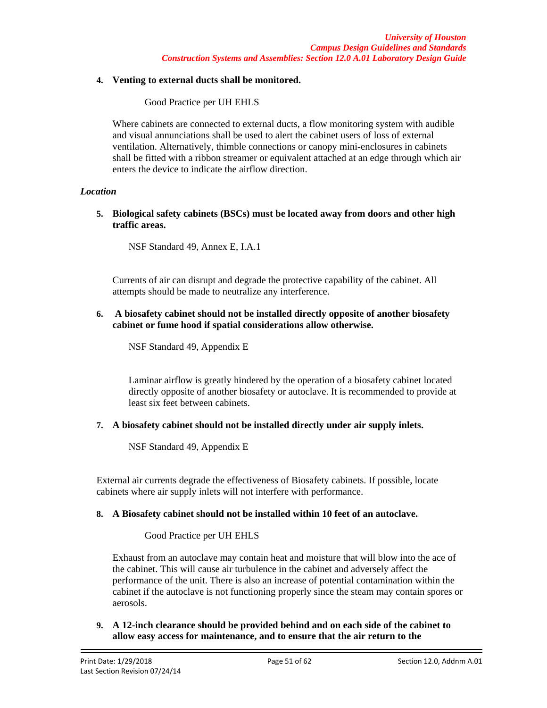### **4. Venting to external ducts shall be monitored.**

Good Practice per UH EHLS

Where cabinets are connected to external ducts, a flow monitoring system with audible and visual annunciations shall be used to alert the cabinet users of loss of external ventilation. Alternatively, thimble connections or canopy mini-enclosures in cabinets shall be fitted with a ribbon streamer or equivalent attached at an edge through which air enters the device to indicate the airflow direction.

## *Location*

**5. Biological safety cabinets (BSCs) must be located away from doors and other high traffic areas.**

NSF Standard 49, Annex E, I.A.1

Currents of air can disrupt and degrade the protective capability of the cabinet. All attempts should be made to neutralize any interference.

### **6. A biosafety cabinet should not be installed directly opposite of another biosafety cabinet or fume hood if spatial considerations allow otherwise.**

NSF Standard 49, Appendix E

Laminar airflow is greatly hindered by the operation of a biosafety cabinet located directly opposite of another biosafety or autoclave. It is recommended to provide at least six feet between cabinets.

## **7. A biosafety cabinet should not be installed directly under air supply inlets.**

NSF Standard 49, Appendix E

External air currents degrade the effectiveness of Biosafety cabinets. If possible, locate cabinets where air supply inlets will not interfere with performance.

## **8. A Biosafety cabinet should not be installed within 10 feet of an autoclave.**

## Good Practice per UH EHLS

Exhaust from an autoclave may contain heat and moisture that will blow into the ace of the cabinet. This will cause air turbulence in the cabinet and adversely affect the performance of the unit. There is also an increase of potential contamination within the cabinet if the autoclave is not functioning properly since the steam may contain spores or aerosols.

**9. A 12-inch clearance should be provided behind and on each side of the cabinet to allow easy access for maintenance, and to ensure that the air return to the**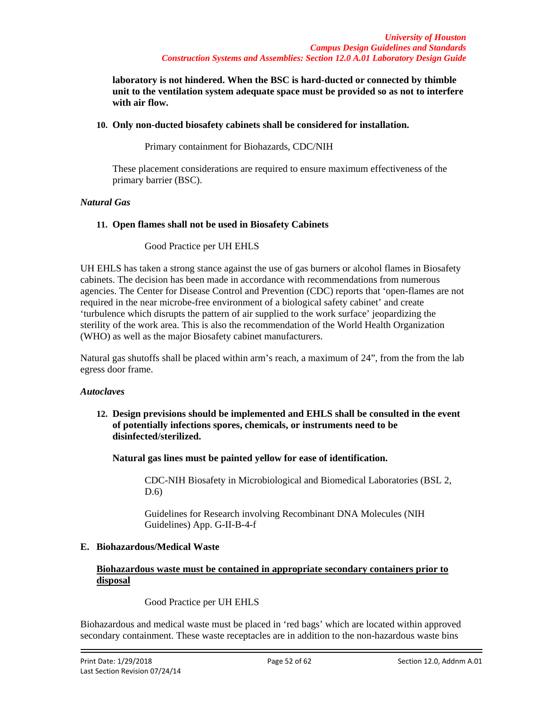**laboratory is not hindered. When the BSC is hard-ducted or connected by thimble unit to the ventilation system adequate space must be provided so as not to interfere with air flow.**

### **10. Only non-ducted biosafety cabinets shall be considered for installation.**

Primary containment for Biohazards, CDC/NIH

These placement considerations are required to ensure maximum effectiveness of the primary barrier (BSC).

#### *Natural Gas*

### **11. Open flames shall not be used in Biosafety Cabinets**

Good Practice per UH EHLS

UH EHLS has taken a strong stance against the use of gas burners or alcohol flames in Biosafety cabinets. The decision has been made in accordance with recommendations from numerous agencies. The Center for Disease Control and Prevention (CDC) reports that 'open-flames are not required in the near microbe-free environment of a biological safety cabinet' and create 'turbulence which disrupts the pattern of air supplied to the work surface' jeopardizing the sterility of the work area. This is also the recommendation of the World Health Organization (WHO) as well as the major Biosafety cabinet manufacturers.

Natural gas shutoffs shall be placed within arm's reach, a maximum of 24", from the from the lab egress door frame.

#### *Autoclaves*

**12. Design previsions should be implemented and EHLS shall be consulted in the event of potentially infections spores, chemicals, or instruments need to be disinfected/sterilized.**

**Natural gas lines must be painted yellow for ease of identification.**

CDC-NIH Biosafety in Microbiological and Biomedical Laboratories (BSL 2, D.6)

Guidelines for Research involving Recombinant DNA Molecules (NIH Guidelines) App. G-II-B-4-f

### **E. Biohazardous/Medical Waste**

### **Biohazardous waste must be contained in appropriate secondary containers prior to disposal**

Good Practice per UH EHLS

Biohazardous and medical waste must be placed in 'red bags' which are located within approved secondary containment. These waste receptacles are in addition to the non-hazardous waste bins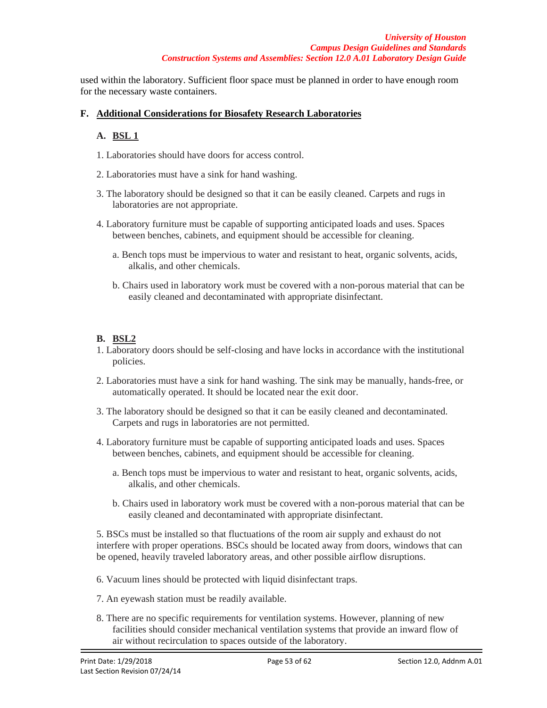used within the laboratory. Sufficient floor space must be planned in order to have enough room for the necessary waste containers.

## **F. Additional Considerations for Biosafety Research Laboratories**

## **A. BSL 1**

- 1. Laboratories should have doors for access control.
- 2. Laboratories must have a sink for hand washing.
- 3. The laboratory should be designed so that it can be easily cleaned. Carpets and rugs in laboratories are not appropriate.
- 4. Laboratory furniture must be capable of supporting anticipated loads and uses. Spaces between benches, cabinets, and equipment should be accessible for cleaning.
	- a. Bench tops must be impervious to water and resistant to heat, organic solvents, acids, alkalis, and other chemicals.
	- b. Chairs used in laboratory work must be covered with a non-porous material that can be easily cleaned and decontaminated with appropriate disinfectant.

## **B. BSL2**

- 1. Laboratory doors should be self-closing and have locks in accordance with the institutional policies.
- 2. Laboratories must have a sink for hand washing. The sink may be manually, hands-free, or automatically operated. It should be located near the exit door.
- 3. The laboratory should be designed so that it can be easily cleaned and decontaminated. Carpets and rugs in laboratories are not permitted.
- 4. Laboratory furniture must be capable of supporting anticipated loads and uses. Spaces between benches, cabinets, and equipment should be accessible for cleaning.
	- a. Bench tops must be impervious to water and resistant to heat, organic solvents, acids, alkalis, and other chemicals.
	- b. Chairs used in laboratory work must be covered with a non-porous material that can be easily cleaned and decontaminated with appropriate disinfectant.

5. BSCs must be installed so that fluctuations of the room air supply and exhaust do not interfere with proper operations. BSCs should be located away from doors, windows that can be opened, heavily traveled laboratory areas, and other possible airflow disruptions.

- 6. Vacuum lines should be protected with liquid disinfectant traps.
- 7. An eyewash station must be readily available.
- 8. There are no specific requirements for ventilation systems. However, planning of new facilities should consider mechanical ventilation systems that provide an inward flow of air without recirculation to spaces outside of the laboratory.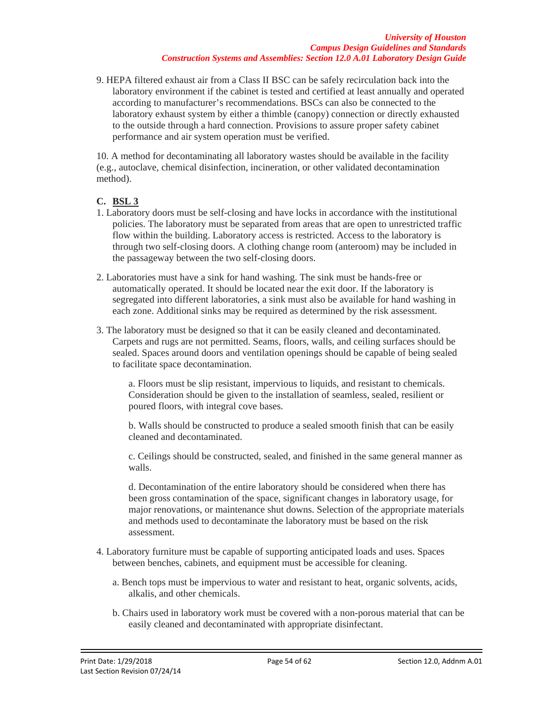9. HEPA filtered exhaust air from a Class II BSC can be safely recirculation back into the laboratory environment if the cabinet is tested and certified at least annually and operated according to manufacturer's recommendations. BSCs can also be connected to the laboratory exhaust system by either a thimble (canopy) connection or directly exhausted to the outside through a hard connection. Provisions to assure proper safety cabinet performance and air system operation must be verified.

10. A method for decontaminating all laboratory wastes should be available in the facility (e.g., autoclave, chemical disinfection, incineration, or other validated decontamination method).

## **C. BSL 3**

- 1. Laboratory doors must be self-closing and have locks in accordance with the institutional policies. The laboratory must be separated from areas that are open to unrestricted traffic flow within the building. Laboratory access is restricted. Access to the laboratory is through two self-closing doors. A clothing change room (anteroom) may be included in the passageway between the two self-closing doors.
- 2. Laboratories must have a sink for hand washing. The sink must be hands-free or automatically operated. It should be located near the exit door. If the laboratory is segregated into different laboratories, a sink must also be available for hand washing in each zone. Additional sinks may be required as determined by the risk assessment.
- 3. The laboratory must be designed so that it can be easily cleaned and decontaminated. Carpets and rugs are not permitted. Seams, floors, walls, and ceiling surfaces should be sealed. Spaces around doors and ventilation openings should be capable of being sealed to facilitate space decontamination.

a. Floors must be slip resistant, impervious to liquids, and resistant to chemicals. Consideration should be given to the installation of seamless, sealed, resilient or poured floors, with integral cove bases.

b. Walls should be constructed to produce a sealed smooth finish that can be easily cleaned and decontaminated.

c. Ceilings should be constructed, sealed, and finished in the same general manner as walls.

d. Decontamination of the entire laboratory should be considered when there has been gross contamination of the space, significant changes in laboratory usage, for major renovations, or maintenance shut downs. Selection of the appropriate materials and methods used to decontaminate the laboratory must be based on the risk assessment.

- 4. Laboratory furniture must be capable of supporting anticipated loads and uses. Spaces between benches, cabinets, and equipment must be accessible for cleaning.
	- a. Bench tops must be impervious to water and resistant to heat, organic solvents, acids, alkalis, and other chemicals.
	- b. Chairs used in laboratory work must be covered with a non-porous material that can be easily cleaned and decontaminated with appropriate disinfectant.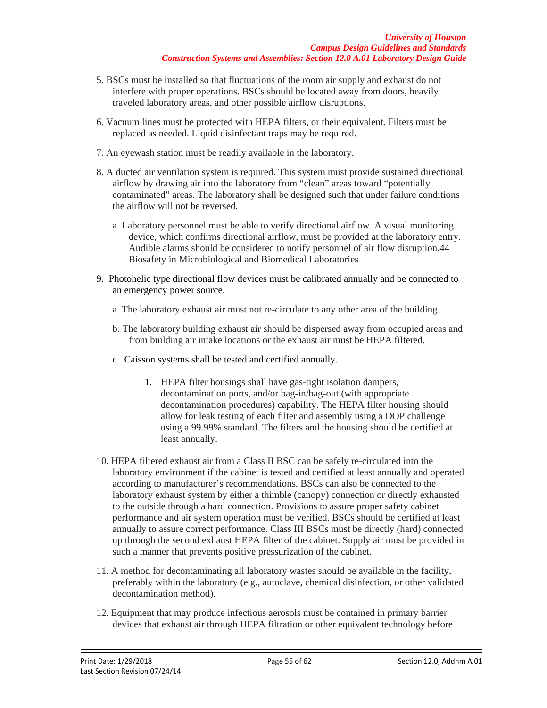- 5. BSCs must be installed so that fluctuations of the room air supply and exhaust do not interfere with proper operations. BSCs should be located away from doors, heavily traveled laboratory areas, and other possible airflow disruptions.
- 6. Vacuum lines must be protected with HEPA filters, or their equivalent. Filters must be replaced as needed. Liquid disinfectant traps may be required.
- 7. An eyewash station must be readily available in the laboratory.
- 8. A ducted air ventilation system is required. This system must provide sustained directional airflow by drawing air into the laboratory from "clean" areas toward "potentially contaminated" areas. The laboratory shall be designed such that under failure conditions the airflow will not be reversed.
	- a. Laboratory personnel must be able to verify directional airflow. A visual monitoring device, which confirms directional airflow, must be provided at the laboratory entry. Audible alarms should be considered to notify personnel of air flow disruption.44 Biosafety in Microbiological and Biomedical Laboratories
- 9. Photohelic type directional flow devices must be calibrated annually and be connected to an emergency power source.
	- a. The laboratory exhaust air must not re-circulate to any other area of the building.
	- b. The laboratory building exhaust air should be dispersed away from occupied areas and from building air intake locations or the exhaust air must be HEPA filtered.
	- c. Caisson systems shall be tested and certified annually.
		- 1. HEPA filter housings shall have gas-tight isolation dampers, decontamination ports, and/or bag-in/bag-out (with appropriate decontamination procedures) capability. The HEPA filter housing should allow for leak testing of each filter and assembly using a DOP challenge using a 99.99% standard. The filters and the housing should be certified at least annually.
- 10. HEPA filtered exhaust air from a Class II BSC can be safely re-circulated into the laboratory environment if the cabinet is tested and certified at least annually and operated according to manufacturer's recommendations. BSCs can also be connected to the laboratory exhaust system by either a thimble (canopy) connection or directly exhausted to the outside through a hard connection. Provisions to assure proper safety cabinet performance and air system operation must be verified. BSCs should be certified at least annually to assure correct performance. Class III BSCs must be directly (hard) connected up through the second exhaust HEPA filter of the cabinet. Supply air must be provided in such a manner that prevents positive pressurization of the cabinet.
- 11. A method for decontaminating all laboratory wastes should be available in the facility, preferably within the laboratory (e.g., autoclave, chemical disinfection, or other validated decontamination method).
- 12. Equipment that may produce infectious aerosols must be contained in primary barrier devices that exhaust air through HEPA filtration or other equivalent technology before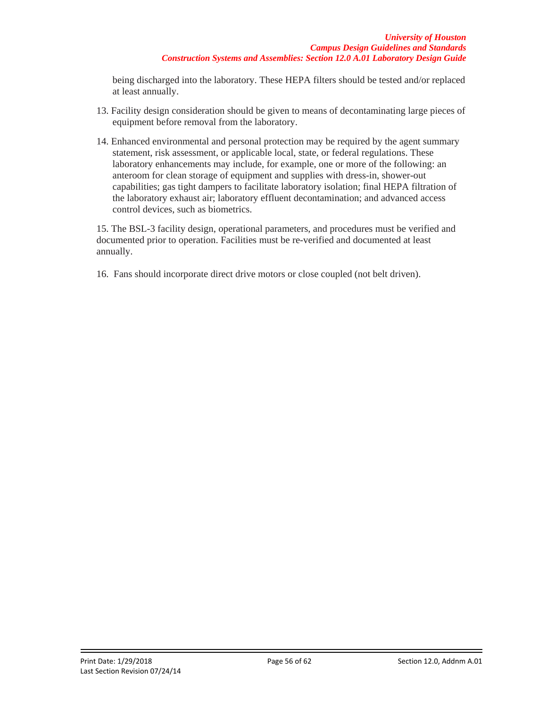being discharged into the laboratory. These HEPA filters should be tested and/or replaced at least annually.

- 13. Facility design consideration should be given to means of decontaminating large pieces of equipment before removal from the laboratory.
- 14. Enhanced environmental and personal protection may be required by the agent summary statement, risk assessment, or applicable local, state, or federal regulations. These laboratory enhancements may include, for example, one or more of the following: an anteroom for clean storage of equipment and supplies with dress-in, shower-out capabilities; gas tight dampers to facilitate laboratory isolation; final HEPA filtration of the laboratory exhaust air; laboratory effluent decontamination; and advanced access control devices, such as biometrics.

15. The BSL-3 facility design, operational parameters, and procedures must be verified and documented prior to operation. Facilities must be re-verified and documented at least annually.

16. Fans should incorporate direct drive motors or close coupled (not belt driven).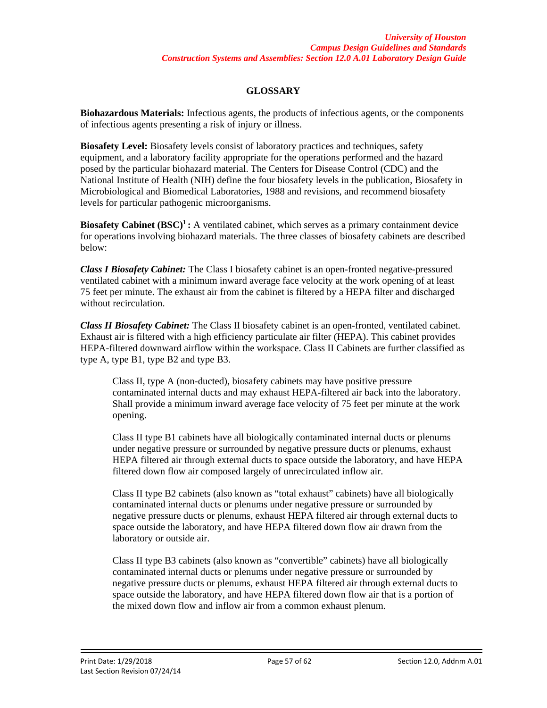# **GLOSSARY**

**Biohazardous Materials:** Infectious agents, the products of infectious agents, or the components of infectious agents presenting a risk of injury or illness.

**Biosafety Level:** Biosafety levels consist of laboratory practices and techniques, safety equipment, and a laboratory facility appropriate for the operations performed and the hazard posed by the particular biohazard material. The Centers for Disease Control (CDC) and the National Institute of Health (NIH) define the four biosafety levels in the publication, Biosafety in Microbiological and Biomedical Laboratories, 1988 and revisions, and recommend biosafety levels for particular pathogenic microorganisms.

**Biosafety Cabinet (BSC)<sup>1</sup>:** A ventilated cabinet, which serves as a primary containment device for operations involving biohazard materials. The three classes of biosafety cabinets are described below:

*Class I Biosafety Cabinet:* The Class I biosafety cabinet is an open-fronted negative-pressured ventilated cabinet with a minimum inward average face velocity at the work opening of at least 75 feet per minute. The exhaust air from the cabinet is filtered by a HEPA filter and discharged without recirculation.

*Class II Biosafety Cabinet:* The Class II biosafety cabinet is an open-fronted, ventilated cabinet. Exhaust air is filtered with a high efficiency particulate air filter (HEPA). This cabinet provides HEPA-filtered downward airflow within the workspace. Class II Cabinets are further classified as type A, type B1, type B2 and type B3.

Class II, type A (non-ducted), biosafety cabinets may have positive pressure contaminated internal ducts and may exhaust HEPA-filtered air back into the laboratory. Shall provide a minimum inward average face velocity of 75 feet per minute at the work opening.

Class II type B1 cabinets have all biologically contaminated internal ducts or plenums under negative pressure or surrounded by negative pressure ducts or plenums, exhaust HEPA filtered air through external ducts to space outside the laboratory, and have HEPA filtered down flow air composed largely of unrecirculated inflow air.

Class II type B2 cabinets (also known as "total exhaust" cabinets) have all biologically contaminated internal ducts or plenums under negative pressure or surrounded by negative pressure ducts or plenums, exhaust HEPA filtered air through external ducts to space outside the laboratory, and have HEPA filtered down flow air drawn from the laboratory or outside air.

Class II type B3 cabinets (also known as "convertible" cabinets) have all biologically contaminated internal ducts or plenums under negative pressure or surrounded by negative pressure ducts or plenums, exhaust HEPA filtered air through external ducts to space outside the laboratory, and have HEPA filtered down flow air that is a portion of the mixed down flow and inflow air from a common exhaust plenum.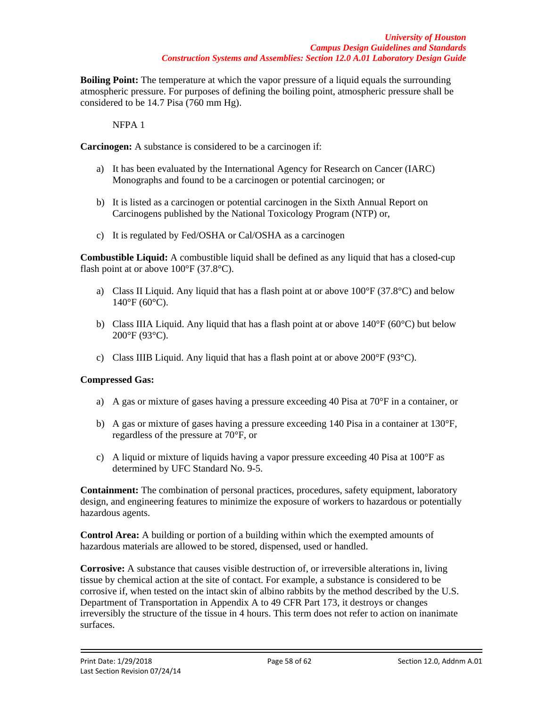**Boiling Point:** The temperature at which the vapor pressure of a liquid equals the surrounding atmospheric pressure. For purposes of defining the boiling point, atmospheric pressure shall be considered to be 14.7 Pisa (760 mm Hg).

NFPA 1

**Carcinogen:** A substance is considered to be a carcinogen if:

- a) It has been evaluated by the International Agency for Research on Cancer (IARC) Monographs and found to be a carcinogen or potential carcinogen; or
- b) It is listed as a carcinogen or potential carcinogen in the Sixth Annual Report on Carcinogens published by the National Toxicology Program (NTP) or,
- c) It is regulated by Fed/OSHA or Cal/OSHA as a carcinogen

**Combustible Liquid:** A combustible liquid shall be defined as any liquid that has a closed-cup flash point at or above  $100^{\circ}$ F (37.8 $^{\circ}$ C).

- a) Class II Liquid. Any liquid that has a flash point at or above  $100^{\circ}F(37.8^{\circ}C)$  and below  $140^{\circ}$ F (60 $^{\circ}$ C).
- b) Class IIIA Liquid. Any liquid that has a flash point at or above 140°F (60°C) but below 200°F (93°C).
- c) Class IIIB Liquid. Any liquid that has a flash point at or above 200°F (93°C).

## **Compressed Gas:**

- a) A gas or mixture of gases having a pressure exceeding 40 Pisa at 70°F in a container, or
- b) A gas or mixture of gases having a pressure exceeding 140 Pisa in a container at 130°F, regardless of the pressure at 70°F, or
- c) A liquid or mixture of liquids having a vapor pressure exceeding 40 Pisa at 100°F as determined by UFC Standard No. 9-5.

**Containment:** The combination of personal practices, procedures, safety equipment, laboratory design, and engineering features to minimize the exposure of workers to hazardous or potentially hazardous agents.

**Control Area:** A building or portion of a building within which the exempted amounts of hazardous materials are allowed to be stored, dispensed, used or handled.

**Corrosive:** A substance that causes visible destruction of, or irreversible alterations in, living tissue by chemical action at the site of contact. For example, a substance is considered to be corrosive if, when tested on the intact skin of albino rabbits by the method described by the U.S. Department of Transportation in Appendix A to 49 CFR Part 173, it destroys or changes irreversibly the structure of the tissue in 4 hours. This term does not refer to action on inanimate surfaces.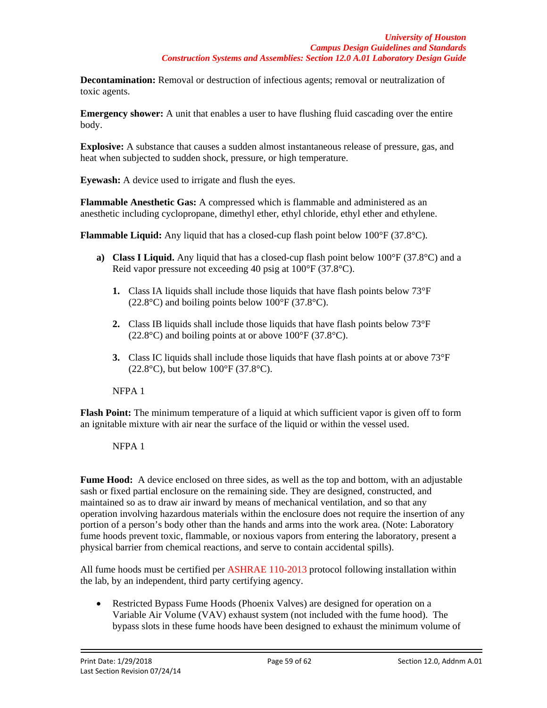**Decontamination:** Removal or destruction of infectious agents; removal or neutralization of toxic agents.

**Emergency shower:** A unit that enables a user to have flushing fluid cascading over the entire body.

**Explosive:** A substance that causes a sudden almost instantaneous release of pressure, gas, and heat when subjected to sudden shock, pressure, or high temperature.

**Eyewash:** A device used to irrigate and flush the eyes.

**Flammable Anesthetic Gas:** A compressed which is flammable and administered as an anesthetic including cyclopropane, dimethyl ether, ethyl chloride, ethyl ether and ethylene.

**Flammable Liquid:** Any liquid that has a closed-cup flash point below 100°F (37.8°C).

- **a) Class I Liquid.** Any liquid that has a closed-cup flash point below 100°F (37.8°C) and a Reid vapor pressure not exceeding 40 psig at 100°F (37.8°C).
	- **1.** Class IA liquids shall include those liquids that have flash points below 73°F  $(22.8\textdegree C)$  and boiling points below 100 $\textdegree F$  (37.8 $\textdegree C$ ).
	- **2.** Class IB liquids shall include those liquids that have flash points below 73°F  $(22.8^{\circ}C)$  and boiling points at or above  $100^{\circ}F(37.8^{\circ}C)$ .
	- **3.** Class IC liquids shall include those liquids that have flash points at or above 73°F  $(22.8\text{°C})$ , but below  $100\text{°F}$  (37.8°C).

NFPA 1

**Flash Point:** The minimum temperature of a liquid at which sufficient vapor is given off to form an ignitable mixture with air near the surface of the liquid or within the vessel used.

NFPA 1

**Fume Hood:** A device enclosed on three sides, as well as the top and bottom, with an adjustable sash or fixed partial enclosure on the remaining side. They are designed, constructed, and maintained so as to draw air inward by means of mechanical ventilation, and so that any operation involving hazardous materials within the enclosure does not require the insertion of any portion of a person's body other than the hands and arms into the work area. (Note: Laboratory fume hoods prevent toxic, flammable, or noxious vapors from entering the laboratory, present a physical barrier from chemical reactions, and serve to contain accidental spills).

All fume hoods must be certified per ASHRAE 110-2013 protocol following installation within the lab, by an independent, third party certifying agency.

• Restricted Bypass Fume Hoods (Phoenix Valves) are designed for operation on a Variable Air Volume (VAV) exhaust system (not included with the fume hood). The bypass slots in these fume hoods have been designed to exhaust the minimum volume of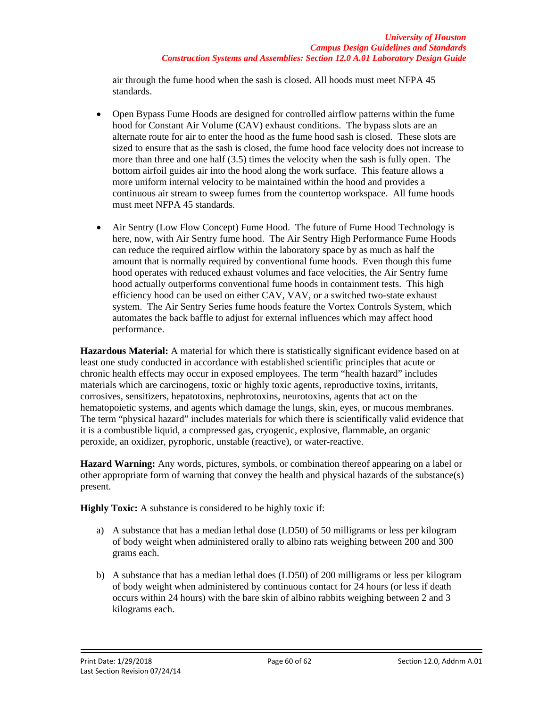air through the fume hood when the sash is closed. All hoods must meet NFPA 45 standards.

- Open Bypass Fume Hoods are designed for controlled airflow patterns within the fume hood for Constant Air Volume (CAV) exhaust conditions. The bypass slots are an alternate route for air to enter the hood as the fume hood sash is closed. These slots are sized to ensure that as the sash is closed, the fume hood face velocity does not increase to more than three and one half (3.5) times the velocity when the sash is fully open. The bottom airfoil guides air into the hood along the work surface. This feature allows a more uniform internal velocity to be maintained within the hood and provides a continuous air stream to sweep fumes from the countertop workspace. All fume hoods must meet NFPA 45 standards.
- Air Sentry (Low Flow Concept) Fume Hood. The future of Fume Hood Technology is here, now, with Air Sentry fume hood. The Air Sentry High Performance Fume Hoods can reduce the required airflow within the laboratory space by as much as half the amount that is normally required by conventional fume hoods. Even though this fume hood operates with reduced exhaust volumes and face velocities, the Air Sentry fume hood actually outperforms conventional fume hoods in containment tests. This high efficiency hood can be used on either CAV, VAV, or a switched two-state exhaust system. The Air Sentry Series fume hoods feature the Vortex Controls System, which automates the back baffle to adjust for external influences which may affect hood performance.

**Hazardous Material:** A material for which there is statistically significant evidence based on at least one study conducted in accordance with established scientific principles that acute or chronic health effects may occur in exposed employees. The term "health hazard" includes materials which are carcinogens, toxic or highly toxic agents, reproductive toxins, irritants, corrosives, sensitizers, hepatotoxins, nephrotoxins, neurotoxins, agents that act on the hematopoietic systems, and agents which damage the lungs, skin, eyes, or mucous membranes. The term "physical hazard" includes materials for which there is scientifically valid evidence that it is a combustible liquid, a compressed gas, cryogenic, explosive, flammable, an organic peroxide, an oxidizer, pyrophoric, unstable (reactive), or water-reactive.

**Hazard Warning:** Any words, pictures, symbols, or combination thereof appearing on a label or other appropriate form of warning that convey the health and physical hazards of the substance(s) present.

**Highly Toxic:** A substance is considered to be highly toxic if:

- a) A substance that has a median lethal dose (LD50) of 50 milligrams or less per kilogram of body weight when administered orally to albino rats weighing between 200 and 300 grams each.
- b) A substance that has a median lethal does (LD50) of 200 milligrams or less per kilogram of body weight when administered by continuous contact for 24 hours (or less if death occurs within 24 hours) with the bare skin of albino rabbits weighing between 2 and 3 kilograms each.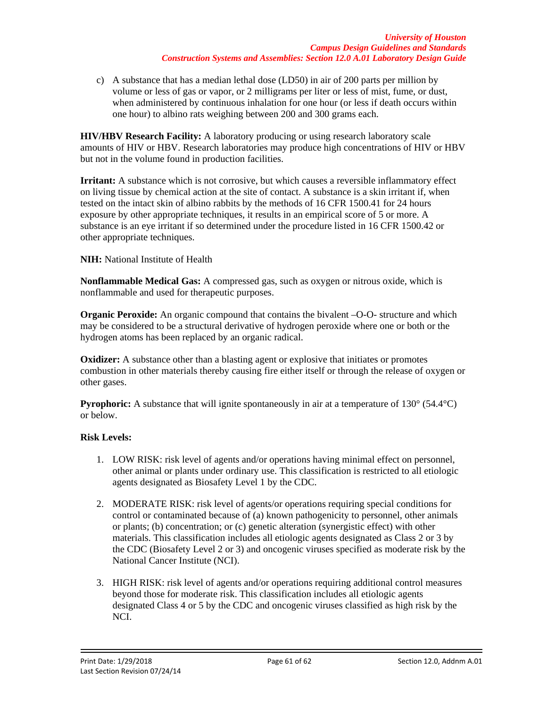c) A substance that has a median lethal dose (LD50) in air of 200 parts per million by volume or less of gas or vapor, or 2 milligrams per liter or less of mist, fume, or dust, when administered by continuous inhalation for one hour (or less if death occurs within one hour) to albino rats weighing between 200 and 300 grams each.

**HIV/HBV Research Facility:** A laboratory producing or using research laboratory scale amounts of HIV or HBV. Research laboratories may produce high concentrations of HIV or HBV but not in the volume found in production facilities.

**Irritant:** A substance which is not corrosive, but which causes a reversible inflammatory effect on living tissue by chemical action at the site of contact. A substance is a skin irritant if, when tested on the intact skin of albino rabbits by the methods of 16 CFR 1500.41 for 24 hours exposure by other appropriate techniques, it results in an empirical score of 5 or more. A substance is an eye irritant if so determined under the procedure listed in 16 CFR 1500.42 or other appropriate techniques.

**NIH:** National Institute of Health

**Nonflammable Medical Gas:** A compressed gas, such as oxygen or nitrous oxide, which is nonflammable and used for therapeutic purposes.

**Organic Peroxide:** An organic compound that contains the bivalent -O-O- structure and which may be considered to be a structural derivative of hydrogen peroxide where one or both or the hydrogen atoms has been replaced by an organic radical.

**Oxidizer:** A substance other than a blasting agent or explosive that initiates or promotes combustion in other materials thereby causing fire either itself or through the release of oxygen or other gases.

**Pyrophoric:** A substance that will ignite spontaneously in air at a temperature of 130° (54.4°C) or below.

# **Risk Levels:**

- 1. LOW RISK: risk level of agents and/or operations having minimal effect on personnel, other animal or plants under ordinary use. This classification is restricted to all etiologic agents designated as Biosafety Level 1 by the CDC.
- 2. MODERATE RISK: risk level of agents/or operations requiring special conditions for control or contaminated because of (a) known pathogenicity to personnel, other animals or plants; (b) concentration; or (c) genetic alteration (synergistic effect) with other materials. This classification includes all etiologic agents designated as Class 2 or 3 by the CDC (Biosafety Level 2 or 3) and oncogenic viruses specified as moderate risk by the National Cancer Institute (NCI).
- 3. HIGH RISK: risk level of agents and/or operations requiring additional control measures beyond those for moderate risk. This classification includes all etiologic agents designated Class 4 or 5 by the CDC and oncogenic viruses classified as high risk by the NCI.